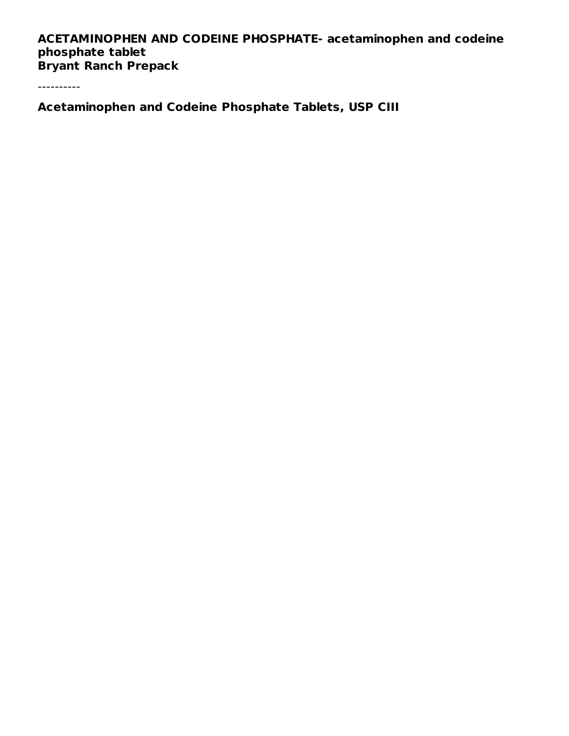## **ACETAMINOPHEN AND CODEINE PHOSPHATE- acetaminophen and codeine phosphate tablet Bryant Ranch Prepack**

----------

**Acetaminophen and Codeine Phosphate Tablets, USP CIII**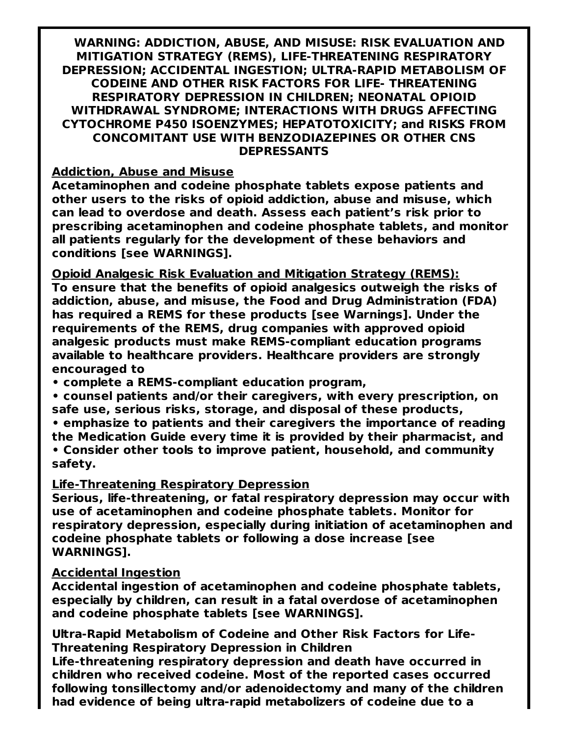**WARNING: ADDICTION, ABUSE, AND MISUSE: RISK EVALUATION AND MITIGATION STRATEGY (REMS), LIFE-THREATENING RESPIRATORY DEPRESSION; ACCIDENTAL INGESTION; ULTRA-RAPID METABOLISM OF CODEINE AND OTHER RISK FACTORS FOR LIFE- THREATENING RESPIRATORY DEPRESSION IN CHILDREN; NEONATAL OPIOID WITHDRAWAL SYNDROME; INTERACTIONS WITH DRUGS AFFECTING CYTOCHROME P450 ISOENZYMES; HEPATOTOXICITY; and RISKS FROM CONCOMITANT USE WITH BENZODIAZEPINES OR OTHER CNS DEPRESSANTS**

#### **Addiction, Abuse and Misuse**

**Acetaminophen and codeine phosphate tablets expose patients and other users to the risks of opioid addiction, abuse and misuse, which can lead to overdose and death. Assess each patient's risk prior to prescribing acetaminophen and codeine phosphate tablets, and monitor all patients regularly for the development of these behaviors and conditions [see WARNINGS].**

**Opioid Analgesic Risk Evaluation and Mitigation Strategy (REMS): To ensure that the benefits of opioid analgesics outweigh the risks of addiction, abuse, and misuse, the Food and Drug Administration (FDA) has required a REMS for these products [see Warnings]. Under the requirements of the REMS, drug companies with approved opioid analgesic products must make REMS-compliant education programs available to healthcare providers. Healthcare providers are strongly encouraged to**

**• complete a REMS-compliant education program,**

- **• counsel patients and/or their caregivers, with every prescription, on safe use, serious risks, storage, and disposal of these products,**
- **• emphasize to patients and their caregivers the importance of reading the Medication Guide every time it is provided by their pharmacist, and • Consider other tools to improve patient, household, and community safety.**

#### **Life-Threatening Respiratory Depression**

**Serious, life-threatening, or fatal respiratory depression may occur with use of acetaminophen and codeine phosphate tablets. Monitor for respiratory depression, especially during initiation of acetaminophen and codeine phosphate tablets or following a dose increase [see WARNINGS].**

#### **Accidental Ingestion**

**Accidental ingestion of acetaminophen and codeine phosphate tablets, especially by children, can result in a fatal overdose of acetaminophen and codeine phosphate tablets [see WARNINGS].**

**Ultra-Rapid Metabolism of Codeine and Other Risk Factors for Life-Threatening Respiratory Depression in Children**

**Life-threatening respiratory depression and death have occurred in children who received codeine. Most of the reported cases occurred following tonsillectomy and/or adenoidectomy and many of the children had evidence of being ultra-rapid metabolizers of codeine due to a**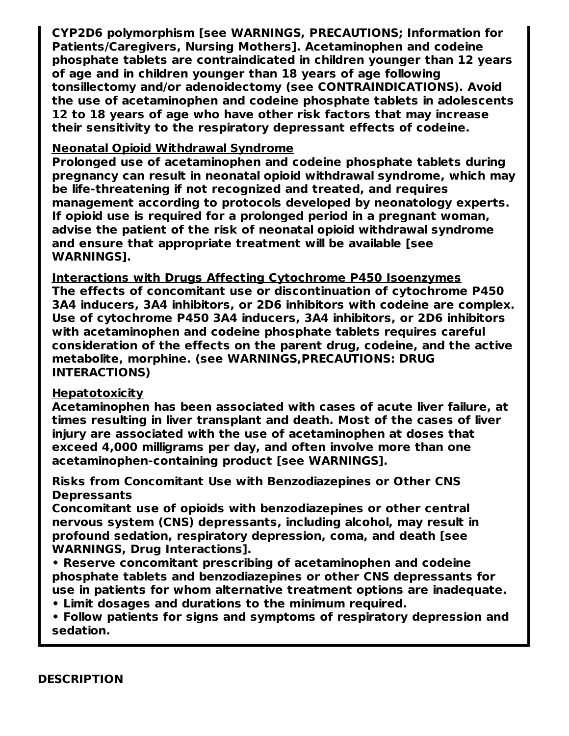**CYP2D6 polymorphism [see WARNINGS, PRECAUTIONS; Information for Patients/Caregivers, Nursing Mothers]. Acetaminophen and codeine phosphate tablets are contraindicated in children younger than 12 years of age and in children younger than 18 years of age following tonsillectomy and/or adenoidectomy (see CONTRAINDICATIONS). Avoid the use of acetaminophen and codeine phosphate tablets in adolescents 12 to 18 years of age who have other risk factors that may increase their sensitivity to the respiratory depressant effects of codeine.**

#### **Neonatal Opioid Withdrawal Syndrome**

**Prolonged use of acetaminophen and codeine phosphate tablets during pregnancy can result in neonatal opioid withdrawal syndrome, which may be life-threatening if not recognized and treated, and requires management according to protocols developed by neonatology experts. If opioid use is required for a prolonged period in a pregnant woman, advise the patient of the risk of neonatal opioid withdrawal syndrome and ensure that appropriate treatment will be available [see WARNINGS].**

**Interactions with Drugs Affecting Cytochrome P450 Isoenzymes The effects of concomitant use or discontinuation of cytochrome P450 3A4 inducers, 3A4 inhibitors, or 2D6 inhibitors with codeine are complex. Use of cytochrome P450 3A4 inducers, 3A4 inhibitors, or 2D6 inhibitors with acetaminophen and codeine phosphate tablets requires careful consideration of the effects on the parent drug, codeine, and the active metabolite, morphine. (see WARNINGS,PRECAUTIONS: DRUG INTERACTIONS)**

#### **Hepatotoxicity**

**Acetaminophen has been associated with cases of acute liver failure, at times resulting in liver transplant and death. Most of the cases of liver injury are associated with the use of acetaminophen at doses that exceed 4,000 milligrams per day, and often involve more than one acetaminophen-containing product [see WARNINGS].**

#### **Risks from Concomitant Use with Benzodiazepines or Other CNS Depressants**

**Concomitant use of opioids with benzodiazepines or other central nervous system (CNS) depressants, including alcohol, may result in profound sedation, respiratory depression, coma, and death [see WARNINGS, Drug Interactions].**

**• Reserve concomitant prescribing of acetaminophen and codeine phosphate tablets and benzodiazepines or other CNS depressants for use in patients for whom alternative treatment options are inadequate.**

**• Limit dosages and durations to the minimum required.**

**• Follow patients for signs and symptoms of respiratory depression and sedation.**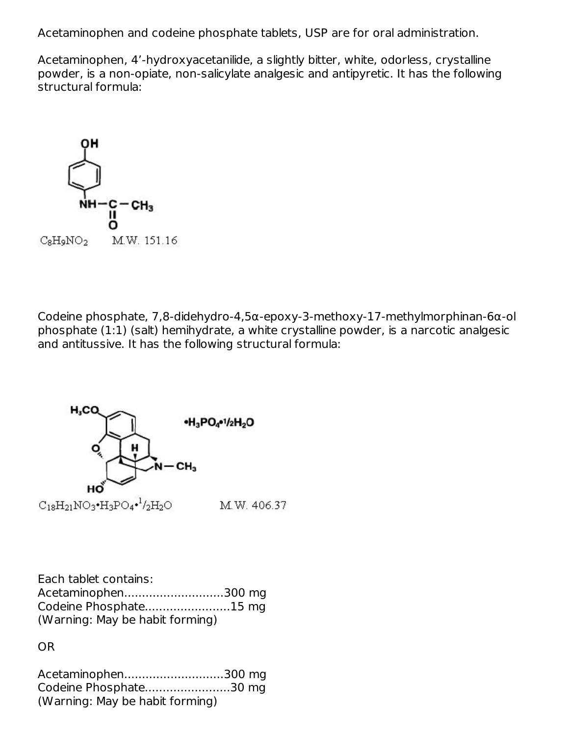Acetaminophen and codeine phosphate tablets, USP are for oral administration.

Acetaminophen, 4'-hydroxyacetanilide, a slightly bitter, white, odorless, crystalline powder, is a non-opiate, non-salicylate analgesic and antipyretic. It has the following structural formula:



Codeine phosphate, 7,8-didehydro-4,5α-epoxy-3-methoxy-17-methylmorphinan-6α-ol phosphate (1:1) (salt) hemihydrate, a white crystalline powder, is a narcotic analgesic and antitussive. It has the following structural formula:



| Each tablet contains:           |  |
|---------------------------------|--|
| Acetaminophen300 mg             |  |
| Codeine Phosphate15 mg          |  |
| (Warning: May be habit forming) |  |

OR

| Acetaminophen300 mg             |  |
|---------------------------------|--|
| Codeine Phosphate30 mg          |  |
| (Warning: May be habit forming) |  |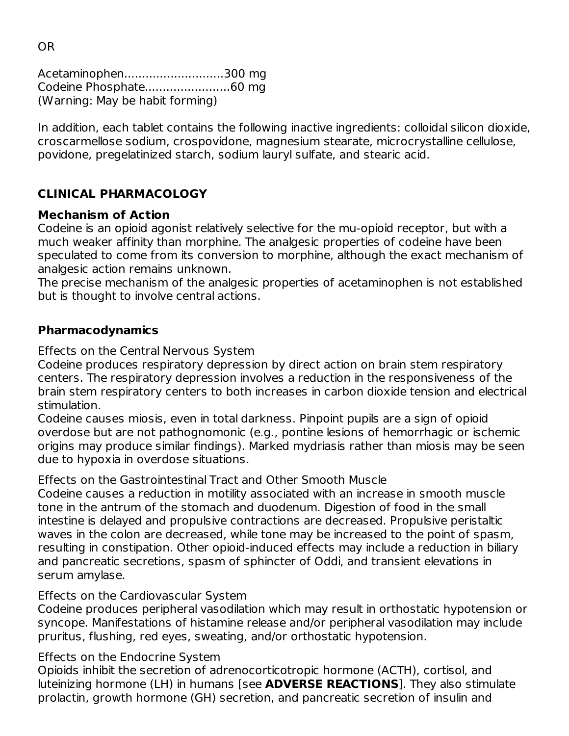Acetaminophen............................300 mg Codeine Phosphate........................60 mg (Warning: May be habit forming)

In addition, each tablet contains the following inactive ingredients: colloidal silicon dioxide, croscarmellose sodium, crospovidone, magnesium stearate, microcrystalline cellulose, povidone, pregelatinized starch, sodium lauryl sulfate, and stearic acid.

# **CLINICAL PHARMACOLOGY**

## **Mechanism of Action**

Codeine is an opioid agonist relatively selective for the mu-opioid receptor, but with a much weaker affinity than morphine. The analgesic properties of codeine have been speculated to come from its conversion to morphine, although the exact mechanism of analgesic action remains unknown.

The precise mechanism of the analgesic properties of acetaminophen is not established but is thought to involve central actions.

## **Pharmacodynamics**

Effects on the Central Nervous System

Codeine produces respiratory depression by direct action on brain stem respiratory centers. The respiratory depression involves a reduction in the responsiveness of the brain stem respiratory centers to both increases in carbon dioxide tension and electrical stimulation.

Codeine causes miosis, even in total darkness. Pinpoint pupils are a sign of opioid overdose but are not pathognomonic (e.g., pontine lesions of hemorrhagic or ischemic origins may produce similar findings). Marked mydriasis rather than miosis may be seen due to hypoxia in overdose situations.

Effects on the Gastrointestinal Tract and Other Smooth Muscle

Codeine causes a reduction in motility associated with an increase in smooth muscle tone in the antrum of the stomach and duodenum. Digestion of food in the small intestine is delayed and propulsive contractions are decreased. Propulsive peristaltic waves in the colon are decreased, while tone may be increased to the point of spasm, resulting in constipation. Other opioid-induced effects may include a reduction in biliary and pancreatic secretions, spasm of sphincter of Oddi, and transient elevations in serum amylase.

#### Effects on the Cardiovascular System

Codeine produces peripheral vasodilation which may result in orthostatic hypotension or syncope. Manifestations of histamine release and/or peripheral vasodilation may include pruritus, flushing, red eyes, sweating, and/or orthostatic hypotension.

# Effects on the Endocrine System

Opioids inhibit the secretion of adrenocorticotropic hormone (ACTH), cortisol, and luteinizing hormone (LH) in humans [see **ADVERSE REACTIONS**]. They also stimulate prolactin, growth hormone (GH) secretion, and pancreatic secretion of insulin and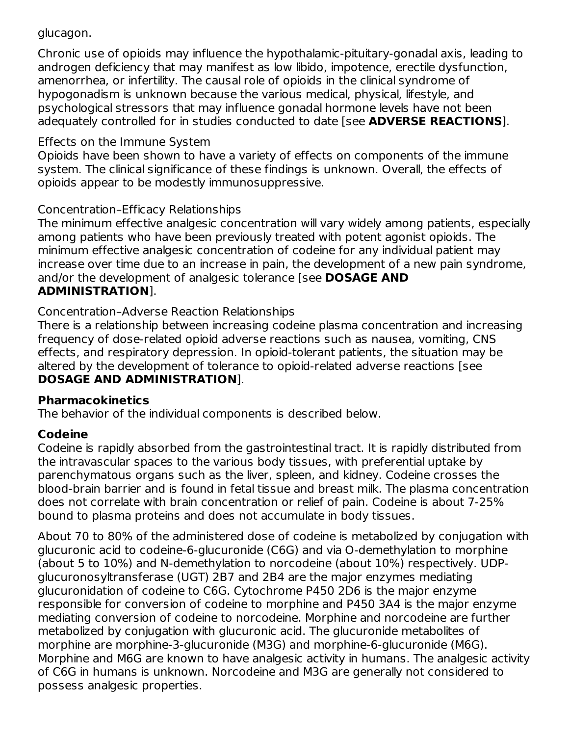## glucagon.

Chronic use of opioids may influence the hypothalamic-pituitary-gonadal axis, leading to androgen deficiency that may manifest as low libido, impotence, erectile dysfunction, amenorrhea, or infertility. The causal role of opioids in the clinical syndrome of hypogonadism is unknown because the various medical, physical, lifestyle, and psychological stressors that may influence gonadal hormone levels have not been adequately controlled for in studies conducted to date [see **ADVERSE REACTIONS**].

#### Effects on the Immune System

Opioids have been shown to have a variety of effects on components of the immune system. The clinical significance of these findings is unknown. Overall, the effects of opioids appear to be modestly immunosuppressive.

## Concentration–Efficacy Relationships

The minimum effective analgesic concentration will vary widely among patients, especially among patients who have been previously treated with potent agonist opioids. The minimum effective analgesic concentration of codeine for any individual patient may increase over time due to an increase in pain, the development of a new pain syndrome, and/or the development of analgesic tolerance [see **DOSAGE AND ADMINISTRATION**].

Concentration–Adverse Reaction Relationships

There is a relationship between increasing codeine plasma concentration and increasing frequency of dose-related opioid adverse reactions such as nausea, vomiting, CNS effects, and respiratory depression. In opioid-tolerant patients, the situation may be altered by the development of tolerance to opioid-related adverse reactions [see **DOSAGE AND ADMINISTRATION**].

#### **Pharmacokinetics**

The behavior of the individual components is described below.

# **Codeine**

Codeine is rapidly absorbed from the gastrointestinal tract. It is rapidly distributed from the intravascular spaces to the various body tissues, with preferential uptake by parenchymatous organs such as the liver, spleen, and kidney. Codeine crosses the blood-brain barrier and is found in fetal tissue and breast milk. The plasma concentration does not correlate with brain concentration or relief of pain. Codeine is about 7-25% bound to plasma proteins and does not accumulate in body tissues.

About 70 to 80% of the administered dose of codeine is metabolized by conjugation with glucuronic acid to codeine-6-glucuronide (C6G) and via O-demethylation to morphine (about 5 to 10%) and N-demethylation to norcodeine (about 10%) respectively. UDPglucuronosyltransferase (UGT) 2B7 and 2B4 are the major enzymes mediating glucuronidation of codeine to C6G. Cytochrome P450 2D6 is the major enzyme responsible for conversion of codeine to morphine and P450 3A4 is the major enzyme mediating conversion of codeine to norcodeine. Morphine and norcodeine are further metabolized by conjugation with glucuronic acid. The glucuronide metabolites of morphine are morphine-3-glucuronide (M3G) and morphine-6-glucuronide (M6G). Morphine and M6G are known to have analgesic activity in humans. The analgesic activity of C6G in humans is unknown. Norcodeine and M3G are generally not considered to possess analgesic properties.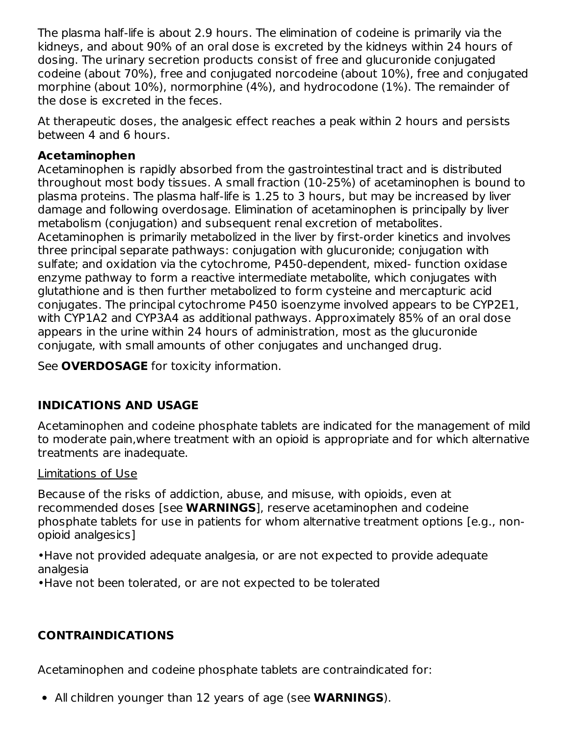The plasma half-life is about 2.9 hours. The elimination of codeine is primarily via the kidneys, and about 90% of an oral dose is excreted by the kidneys within 24 hours of dosing. The urinary secretion products consist of free and glucuronide conjugated codeine (about 70%), free and conjugated norcodeine (about 10%), free and conjugated morphine (about 10%), normorphine (4%), and hydrocodone (1%). The remainder of the dose is excreted in the feces.

At therapeutic doses, the analgesic effect reaches a peak within 2 hours and persists between 4 and 6 hours.

#### **Acetaminophen**

Acetaminophen is rapidly absorbed from the gastrointestinal tract and is distributed throughout most body tissues. A small fraction (10-25%) of acetaminophen is bound to plasma proteins. The plasma half-life is 1.25 to 3 hours, but may be increased by liver damage and following overdosage. Elimination of acetaminophen is principally by liver metabolism (conjugation) and subsequent renal excretion of metabolites. Acetaminophen is primarily metabolized in the liver by first-order kinetics and involves three principal separate pathways: conjugation with glucuronide; conjugation with sulfate; and oxidation via the cytochrome, P450-dependent, mixed- function oxidase enzyme pathway to form a reactive intermediate metabolite, which conjugates with glutathione and is then further metabolized to form cysteine and mercapturic acid conjugates. The principal cytochrome P450 isoenzyme involved appears to be CYP2E1, with CYP1A2 and CYP3A4 as additional pathways. Approximately 85% of an oral dose appears in the urine within 24 hours of administration, most as the glucuronide conjugate, with small amounts of other conjugates and unchanged drug.

See **OVERDOSAGE** for toxicity information.

# **INDICATIONS AND USAGE**

Acetaminophen and codeine phosphate tablets are indicated for the management of mild to moderate pain,where treatment with an opioid is appropriate and for which alternative treatments are inadequate.

#### Limitations of Use

Because of the risks of addiction, abuse, and misuse, with opioids, even at recommended doses [see **WARNINGS**], reserve acetaminophen and codeine phosphate tablets for use in patients for whom alternative treatment options [e.g., nonopioid analgesics]

•Have not provided adequate analgesia, or are not expected to provide adequate analgesia

•Have not been tolerated, or are not expected to be tolerated

# **CONTRAINDICATIONS**

Acetaminophen and codeine phosphate tablets are contraindicated for:

All children younger than 12 years of age (see **WARNINGS**).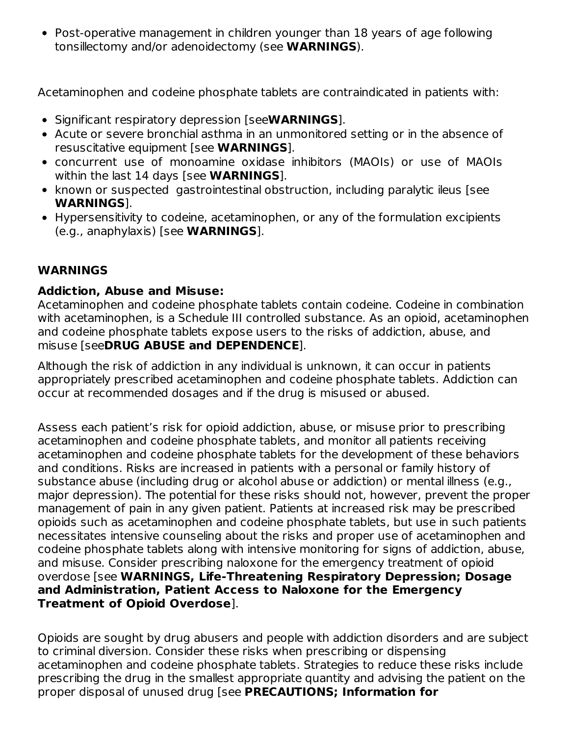Post-operative management in children younger than 18 years of age following tonsillectomy and/or adenoidectomy (see **WARNINGS**).

Acetaminophen and codeine phosphate tablets are contraindicated in patients with:

- Significant respiratory depression [see**WARNINGS**].
- Acute or severe bronchial asthma in an unmonitored setting or in the absence of resuscitative equipment [see **WARNINGS**].
- concurrent use of monoamine oxidase inhibitors (MAOIs) or use of MAOIs within the last 14 days [see **WARNINGS**].
- known or suspected gastrointestinal obstruction, including paralytic ileus [see **WARNINGS**].
- Hypersensitivity to codeine, acetaminophen, or any of the formulation excipients (e.g., anaphylaxis) [see **WARNINGS**].

# **WARNINGS**

## **Addiction, Abuse and Misuse:**

Acetaminophen and codeine phosphate tablets contain codeine. Codeine in combination with acetaminophen, is a Schedule III controlled substance. As an opioid, acetaminophen and codeine phosphate tablets expose users to the risks of addiction, abuse, and misuse [see**DRUG ABUSE and DEPENDENCE**].

Although the risk of addiction in any individual is unknown, it can occur in patients appropriately prescribed acetaminophen and codeine phosphate tablets. Addiction can occur at recommended dosages and if the drug is misused or abused.

Assess each patient's risk for opioid addiction, abuse, or misuse prior to prescribing acetaminophen and codeine phosphate tablets, and monitor all patients receiving acetaminophen and codeine phosphate tablets for the development of these behaviors and conditions. Risks are increased in patients with a personal or family history of substance abuse (including drug or alcohol abuse or addiction) or mental illness (e.g., major depression). The potential for these risks should not, however, prevent the proper management of pain in any given patient. Patients at increased risk may be prescribed opioids such as acetaminophen and codeine phosphate tablets, but use in such patients necessitates intensive counseling about the risks and proper use of acetaminophen and codeine phosphate tablets along with intensive monitoring for signs of addiction, abuse, and misuse. Consider prescribing naloxone for the emergency treatment of opioid overdose [see **WARNINGS, Life-Threatening Respiratory Depression; Dosage and Administration, Patient Access to Naloxone for the Emergency Treatment of Opioid Overdose**].

Opioids are sought by drug abusers and people with addiction disorders and are subject to criminal diversion. Consider these risks when prescribing or dispensing acetaminophen and codeine phosphate tablets. Strategies to reduce these risks include prescribing the drug in the smallest appropriate quantity and advising the patient on the proper disposal of unused drug [see **PRECAUTIONS; Information for**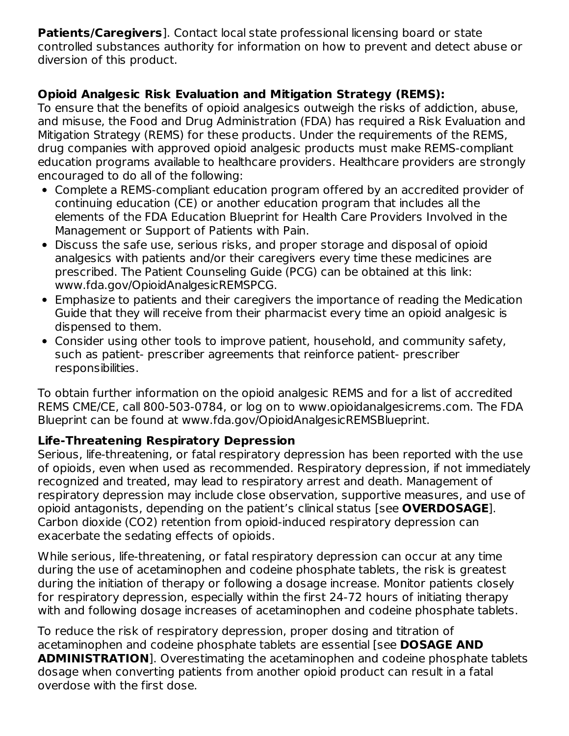**Patients/Caregivers**]. Contact local state professional licensing board or state controlled substances authority for information on how to prevent and detect abuse or diversion of this product.

# **Opioid Analgesic Risk Evaluation and Mitigation Strategy (REMS):**

To ensure that the benefits of opioid analgesics outweigh the risks of addiction, abuse, and misuse, the Food and Drug Administration (FDA) has required a Risk Evaluation and Mitigation Strategy (REMS) for these products. Under the requirements of the REMS, drug companies with approved opioid analgesic products must make REMS-compliant education programs available to healthcare providers. Healthcare providers are strongly encouraged to do all of the following:

- Complete a REMS-compliant education program offered by an accredited provider of continuing education (CE) or another education program that includes all the elements of the FDA Education Blueprint for Health Care Providers Involved in the Management or Support of Patients with Pain.
- Discuss the safe use, serious risks, and proper storage and disposal of opioid analgesics with patients and/or their caregivers every time these medicines are prescribed. The Patient Counseling Guide (PCG) can be obtained at this link: www.fda.gov/OpioidAnalgesicREMSPCG.
- Emphasize to patients and their caregivers the importance of reading the Medication Guide that they will receive from their pharmacist every time an opioid analgesic is dispensed to them.
- Consider using other tools to improve patient, household, and community safety, such as patient- prescriber agreements that reinforce patient- prescriber responsibilities.

To obtain further information on the opioid analgesic REMS and for a list of accredited REMS CME/CE, call 800-503-0784, or log on to www.opioidanalgesicrems.com. The FDA Blueprint can be found at www.fda.gov/OpioidAnalgesicREMSBlueprint.

# **Life-Threatening Respiratory Depression**

Serious, life-threatening, or fatal respiratory depression has been reported with the use of opioids, even when used as recommended. Respiratory depression, if not immediately recognized and treated, may lead to respiratory arrest and death. Management of respiratory depression may include close observation, supportive measures, and use of opioid antagonists, depending on the patient's clinical status [see **OVERDOSAGE**]. Carbon dioxide (CO2) retention from opioid-induced respiratory depression can exacerbate the sedating effects of opioids.

While serious, life-threatening, or fatal respiratory depression can occur at any time during the use of acetaminophen and codeine phosphate tablets, the risk is greatest during the initiation of therapy or following a dosage increase. Monitor patients closely for respiratory depression, especially within the first 24-72 hours of initiating therapy with and following dosage increases of acetaminophen and codeine phosphate tablets.

To reduce the risk of respiratory depression, proper dosing and titration of acetaminophen and codeine phosphate tablets are essential [see **DOSAGE AND ADMINISTRATION**]. Overestimating the acetaminophen and codeine phosphate tablets dosage when converting patients from another opioid product can result in a fatal overdose with the first dose.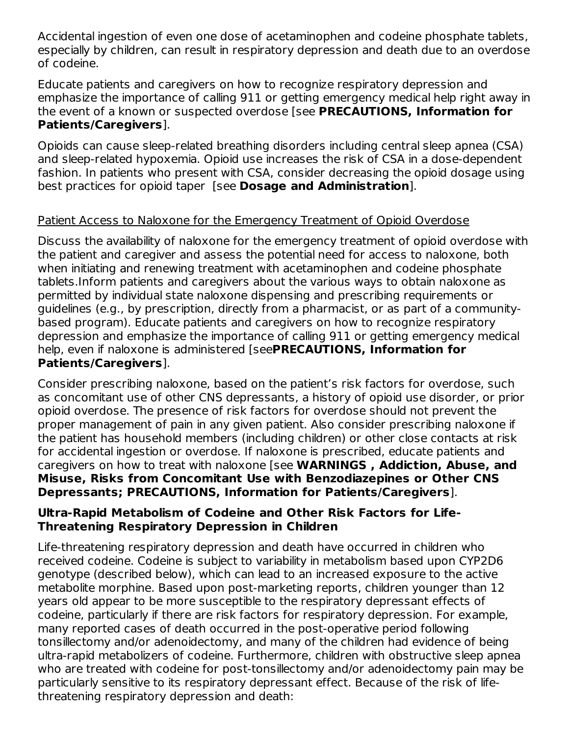Accidental ingestion of even one dose of acetaminophen and codeine phosphate tablets, especially by children, can result in respiratory depression and death due to an overdose of codeine.

Educate patients and caregivers on how to recognize respiratory depression and emphasize the importance of calling 911 or getting emergency medical help right away in the event of a known or suspected overdose [see **PRECAUTIONS, Information for Patients/Caregivers**].

Opioids can cause sleep-related breathing disorders including central sleep apnea (CSA) and sleep-related hypoxemia. Opioid use increases the risk of CSA in a dose-dependent fashion. In patients who present with CSA, consider decreasing the opioid dosage using best practices for opioid taper [see **Dosage and Administration**].

## Patient Access to Naloxone for the Emergency Treatment of Opioid Overdose

Discuss the availability of naloxone for the emergency treatment of opioid overdose with the patient and caregiver and assess the potential need for access to naloxone, both when initiating and renewing treatment with acetaminophen and codeine phosphate tablets.Inform patients and caregivers about the various ways to obtain naloxone as permitted by individual state naloxone dispensing and prescribing requirements or guidelines (e.g., by prescription, directly from a pharmacist, or as part of a communitybased program). Educate patients and caregivers on how to recognize respiratory depression and emphasize the importance of calling 911 or getting emergency medical help, even if naloxone is administered [see**PRECAUTIONS, Information for Patients/Caregivers**].

Consider prescribing naloxone, based on the patient's risk factors for overdose, such as concomitant use of other CNS depressants, a history of opioid use disorder, or prior opioid overdose. The presence of risk factors for overdose should not prevent the proper management of pain in any given patient. Also consider prescribing naloxone if the patient has household members (including children) or other close contacts at risk for accidental ingestion or overdose. If naloxone is prescribed, educate patients and caregivers on how to treat with naloxone [see **WARNINGS , Addiction, Abuse, and Misuse, Risks from Concomitant Use with Benzodiazepines or Other CNS Depressants; PRECAUTIONS, Information for Patients/Caregivers**].

#### **Ultra-Rapid Metabolism of Codeine and Other Risk Factors for Life-Threatening Respiratory Depression in Children**

Life-threatening respiratory depression and death have occurred in children who received codeine. Codeine is subject to variability in metabolism based upon CYP2D6 genotype (described below), which can lead to an increased exposure to the active metabolite morphine. Based upon post-marketing reports, children younger than 12 years old appear to be more susceptible to the respiratory depressant effects of codeine, particularly if there are risk factors for respiratory depression. For example, many reported cases of death occurred in the post-operative period following tonsillectomy and/or adenoidectomy, and many of the children had evidence of being ultra-rapid metabolizers of codeine. Furthermore, children with obstructive sleep apnea who are treated with codeine for post-tonsillectomy and/or adenoidectomy pain may be particularly sensitive to its respiratory depressant effect. Because of the risk of lifethreatening respiratory depression and death: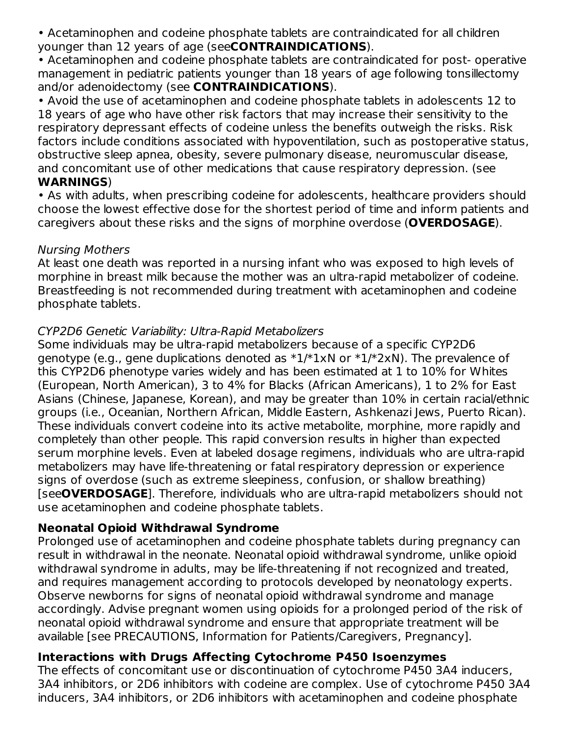• Acetaminophen and codeine phosphate tablets are contraindicated for all children younger than 12 years of age (see**CONTRAINDICATIONS**).

• Acetaminophen and codeine phosphate tablets are contraindicated for post- operative management in pediatric patients younger than 18 years of age following tonsillectomy and/or adenoidectomy (see **CONTRAINDICATIONS**).

• Avoid the use of acetaminophen and codeine phosphate tablets in adolescents 12 to 18 years of age who have other risk factors that may increase their sensitivity to the respiratory depressant effects of codeine unless the benefits outweigh the risks. Risk factors include conditions associated with hypoventilation, such as postoperative status, obstructive sleep apnea, obesity, severe pulmonary disease, neuromuscular disease, and concomitant use of other medications that cause respiratory depression. (see **WARNINGS**)

• As with adults, when prescribing codeine for adolescents, healthcare providers should choose the lowest effective dose for the shortest period of time and inform patients and caregivers about these risks and the signs of morphine overdose (**OVERDOSAGE**).

#### Nursing Mothers

At least one death was reported in a nursing infant who was exposed to high levels of morphine in breast milk because the mother was an ultra-rapid metabolizer of codeine. Breastfeeding is not recommended during treatment with acetaminophen and codeine phosphate tablets.

## CYP2D6 Genetic Variability: Ultra-Rapid Metabolizers

Some individuals may be ultra-rapid metabolizers because of a specific CYP2D6 genotype (e.g., gene duplications denoted as  $*1/*1xN$  or  $*1/*2xN$ ). The prevalence of this CYP2D6 phenotype varies widely and has been estimated at 1 to 10% for Whites (European, North American), 3 to 4% for Blacks (African Americans), 1 to 2% for East Asians (Chinese, Japanese, Korean), and may be greater than 10% in certain racial/ethnic groups (i.e., Oceanian, Northern African, Middle Eastern, Ashkenazi Jews, Puerto Rican). These individuals convert codeine into its active metabolite, morphine, more rapidly and completely than other people. This rapid conversion results in higher than expected serum morphine levels. Even at labeled dosage regimens, individuals who are ultra-rapid metabolizers may have life-threatening or fatal respiratory depression or experience signs of overdose (such as extreme sleepiness, confusion, or shallow breathing) [see**OVERDOSAGE**]. Therefore, individuals who are ultra-rapid metabolizers should not use acetaminophen and codeine phosphate tablets.

# **Neonatal Opioid Withdrawal Syndrome**

Prolonged use of acetaminophen and codeine phosphate tablets during pregnancy can result in withdrawal in the neonate. Neonatal opioid withdrawal syndrome, unlike opioid withdrawal syndrome in adults, may be life-threatening if not recognized and treated, and requires management according to protocols developed by neonatology experts. Observe newborns for signs of neonatal opioid withdrawal syndrome and manage accordingly. Advise pregnant women using opioids for a prolonged period of the risk of neonatal opioid withdrawal syndrome and ensure that appropriate treatment will be available [see PRECAUTIONS, Information for Patients/Caregivers, Pregnancy].

#### **Interactions with Drugs Affecting Cytochrome P450 Isoenzymes**

The effects of concomitant use or discontinuation of cytochrome P450 3A4 inducers, 3A4 inhibitors, or 2D6 inhibitors with codeine are complex. Use of cytochrome P450 3A4 inducers, 3A4 inhibitors, or 2D6 inhibitors with acetaminophen and codeine phosphate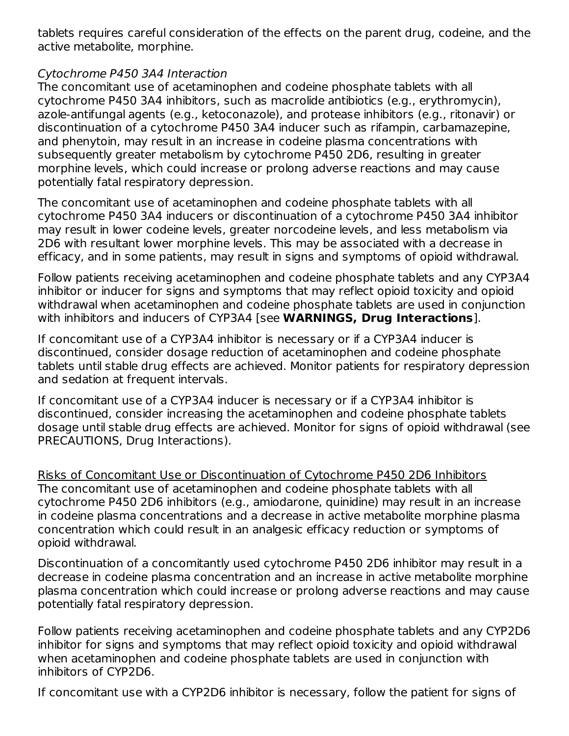tablets requires careful consideration of the effects on the parent drug, codeine, and the active metabolite, morphine.

#### Cytochrome P450 3A4 Interaction

The concomitant use of acetaminophen and codeine phosphate tablets with all cytochrome P450 3A4 inhibitors, such as macrolide antibiotics (e.g., erythromycin), azole-antifungal agents (e.g., ketoconazole), and protease inhibitors (e.g., ritonavir) or discontinuation of a cytochrome P450 3A4 inducer such as rifampin, carbamazepine, and phenytoin, may result in an increase in codeine plasma concentrations with subsequently greater metabolism by cytochrome P450 2D6, resulting in greater morphine levels, which could increase or prolong adverse reactions and may cause potentially fatal respiratory depression.

The concomitant use of acetaminophen and codeine phosphate tablets with all cytochrome P450 3A4 inducers or discontinuation of a cytochrome P450 3A4 inhibitor may result in lower codeine levels, greater norcodeine levels, and less metabolism via 2D6 with resultant lower morphine levels. This may be associated with a decrease in efficacy, and in some patients, may result in signs and symptoms of opioid withdrawal.

Follow patients receiving acetaminophen and codeine phosphate tablets and any CYP3A4 inhibitor or inducer for signs and symptoms that may reflect opioid toxicity and opioid withdrawal when acetaminophen and codeine phosphate tablets are used in conjunction with inhibitors and inducers of CYP3A4 [see **WARNINGS, Drug Interactions**].

If concomitant use of a CYP3A4 inhibitor is necessary or if a CYP3A4 inducer is discontinued, consider dosage reduction of acetaminophen and codeine phosphate tablets until stable drug effects are achieved. Monitor patients for respiratory depression and sedation at frequent intervals.

If concomitant use of a CYP3A4 inducer is necessary or if a CYP3A4 inhibitor is discontinued, consider increasing the acetaminophen and codeine phosphate tablets dosage until stable drug effects are achieved. Monitor for signs of opioid withdrawal (see PRECAUTIONS, Drug Interactions).

Risks of Concomitant Use or Discontinuation of Cytochrome P450 2D6 Inhibitors The concomitant use of acetaminophen and codeine phosphate tablets with all cytochrome P450 2D6 inhibitors (e.g., amiodarone, quinidine) may result in an increase in codeine plasma concentrations and a decrease in active metabolite morphine plasma concentration which could result in an analgesic efficacy reduction or symptoms of opioid withdrawal.

Discontinuation of a concomitantly used cytochrome P450 2D6 inhibitor may result in a decrease in codeine plasma concentration and an increase in active metabolite morphine plasma concentration which could increase or prolong adverse reactions and may cause potentially fatal respiratory depression.

Follow patients receiving acetaminophen and codeine phosphate tablets and any CYP2D6 inhibitor for signs and symptoms that may reflect opioid toxicity and opioid withdrawal when acetaminophen and codeine phosphate tablets are used in conjunction with inhibitors of CYP2D6.

If concomitant use with a CYP2D6 inhibitor is necessary, follow the patient for signs of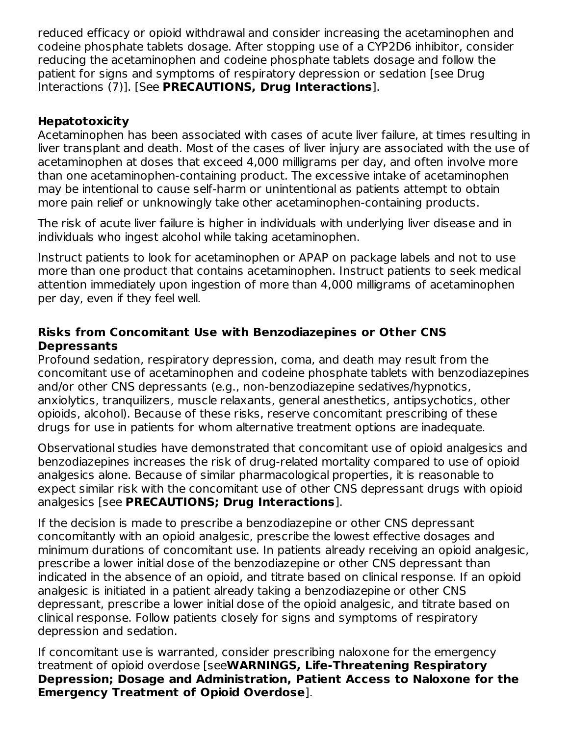reduced efficacy or opioid withdrawal and consider increasing the acetaminophen and codeine phosphate tablets dosage. After stopping use of a CYP2D6 inhibitor, consider reducing the acetaminophen and codeine phosphate tablets dosage and follow the patient for signs and symptoms of respiratory depression or sedation [see Drug Interactions (7)]. [See **PRECAUTIONS, Drug Interactions**].

## **Hepatotoxicity**

Acetaminophen has been associated with cases of acute liver failure, at times resulting in liver transplant and death. Most of the cases of liver injury are associated with the use of acetaminophen at doses that exceed 4,000 milligrams per day, and often involve more than one acetaminophen-containing product. The excessive intake of acetaminophen may be intentional to cause self-harm or unintentional as patients attempt to obtain more pain relief or unknowingly take other acetaminophen-containing products.

The risk of acute liver failure is higher in individuals with underlying liver disease and in individuals who ingest alcohol while taking acetaminophen.

Instruct patients to look for acetaminophen or APAP on package labels and not to use more than one product that contains acetaminophen. Instruct patients to seek medical attention immediately upon ingestion of more than 4,000 milligrams of acetaminophen per day, even if they feel well.

#### **Risks from Concomitant Use with Benzodiazepines or Other CNS Depressants**

Profound sedation, respiratory depression, coma, and death may result from the concomitant use of acetaminophen and codeine phosphate tablets with benzodiazepines and/or other CNS depressants (e.g., non-benzodiazepine sedatives/hypnotics, anxiolytics, tranquilizers, muscle relaxants, general anesthetics, antipsychotics, other opioids, alcohol). Because of these risks, reserve concomitant prescribing of these drugs for use in patients for whom alternative treatment options are inadequate.

Observational studies have demonstrated that concomitant use of opioid analgesics and benzodiazepines increases the risk of drug-related mortality compared to use of opioid analgesics alone. Because of similar pharmacological properties, it is reasonable to expect similar risk with the concomitant use of other CNS depressant drugs with opioid analgesics [see **PRECAUTIONS; Drug Interactions**].

If the decision is made to prescribe a benzodiazepine or other CNS depressant concomitantly with an opioid analgesic, prescribe the lowest effective dosages and minimum durations of concomitant use. In patients already receiving an opioid analgesic, prescribe a lower initial dose of the benzodiazepine or other CNS depressant than indicated in the absence of an opioid, and titrate based on clinical response. If an opioid analgesic is initiated in a patient already taking a benzodiazepine or other CNS depressant, prescribe a lower initial dose of the opioid analgesic, and titrate based on clinical response. Follow patients closely for signs and symptoms of respiratory depression and sedation.

If concomitant use is warranted, consider prescribing naloxone for the emergency treatment of opioid overdose [see**WARNINGS, Life-Threatening Respiratory Depression; Dosage and Administration, Patient Access to Naloxone for the Emergency Treatment of Opioid Overdose**].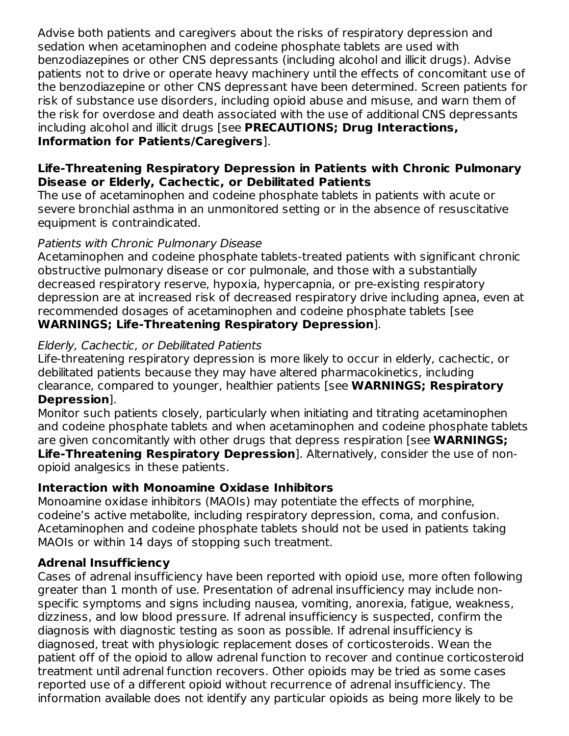Advise both patients and caregivers about the risks of respiratory depression and sedation when acetaminophen and codeine phosphate tablets are used with benzodiazepines or other CNS depressants (including alcohol and illicit drugs). Advise patients not to drive or operate heavy machinery until the effects of concomitant use of the benzodiazepine or other CNS depressant have been determined. Screen patients for risk of substance use disorders, including opioid abuse and misuse, and warn them of the risk for overdose and death associated with the use of additional CNS depressants including alcohol and illicit drugs [see **PRECAUTIONS; Drug Interactions, Information for Patients/Caregivers**].

#### **Life-Threatening Respiratory Depression in Patients with Chronic Pulmonary Disease or Elderly, Cachectic, or Debilitated Patients**

The use of acetaminophen and codeine phosphate tablets in patients with acute or severe bronchial asthma in an unmonitored setting or in the absence of resuscitative equipment is contraindicated.

# Patients with Chronic Pulmonary Disease

Acetaminophen and codeine phosphate tablets-treated patients with significant chronic obstructive pulmonary disease or cor pulmonale, and those with a substantially decreased respiratory reserve, hypoxia, hypercapnia, or pre-existing respiratory depression are at increased risk of decreased respiratory drive including apnea, even at recommended dosages of acetaminophen and codeine phosphate tablets [see **WARNINGS; Life-Threatening Respiratory Depression**].

# Elderly, Cachectic, or Debilitated Patients

Life-threatening respiratory depression is more likely to occur in elderly, cachectic, or debilitated patients because they may have altered pharmacokinetics, including clearance, compared to younger, healthier patients [see **WARNINGS; Respiratory Depression**].

Monitor such patients closely, particularly when initiating and titrating acetaminophen and codeine phosphate tablets and when acetaminophen and codeine phosphate tablets are given concomitantly with other drugs that depress respiration [see **WARNINGS; Life-Threatening Respiratory Depression**]. Alternatively, consider the use of nonopioid analgesics in these patients.

# **Interaction with Monoamine Oxidase Inhibitors**

Monoamine oxidase inhibitors (MAOIs) may potentiate the effects of morphine, codeine's active metabolite, including respiratory depression, coma, and confusion. Acetaminophen and codeine phosphate tablets should not be used in patients taking MAOIs or within 14 days of stopping such treatment.

# **Adrenal Insufficiency**

Cases of adrenal insufficiency have been reported with opioid use, more often following greater than 1 month of use. Presentation of adrenal insufficiency may include nonspecific symptoms and signs including nausea, vomiting, anorexia, fatigue, weakness, dizziness, and low blood pressure. If adrenal insufficiency is suspected, confirm the diagnosis with diagnostic testing as soon as possible. If adrenal insufficiency is diagnosed, treat with physiologic replacement doses of corticosteroids. Wean the patient off of the opioid to allow adrenal function to recover and continue corticosteroid treatment until adrenal function recovers. Other opioids may be tried as some cases reported use of a different opioid without recurrence of adrenal insufficiency. The information available does not identify any particular opioids as being more likely to be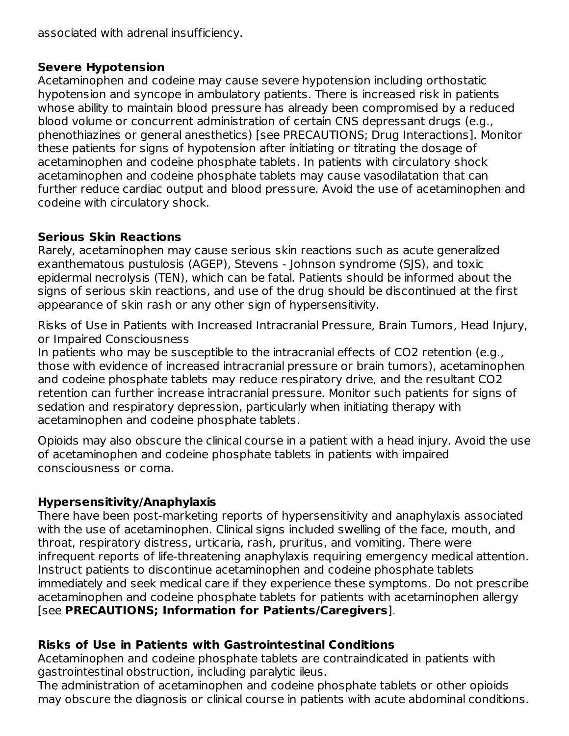associated with adrenal insufficiency.

## **Severe Hypotension**

Acetaminophen and codeine may cause severe hypotension including orthostatic hypotension and syncope in ambulatory patients. There is increased risk in patients whose ability to maintain blood pressure has already been compromised by a reduced blood volume or concurrent administration of certain CNS depressant drugs (e.g., phenothiazines or general anesthetics) [see PRECAUTIONS; Drug Interactions]. Monitor these patients for signs of hypotension after initiating or titrating the dosage of acetaminophen and codeine phosphate tablets. In patients with circulatory shock acetaminophen and codeine phosphate tablets may cause vasodilatation that can further reduce cardiac output and blood pressure. Avoid the use of acetaminophen and codeine with circulatory shock.

## **Serious Skin Reactions**

Rarely, acetaminophen may cause serious skin reactions such as acute generalized exanthematous pustulosis (AGEP), Stevens - Johnson syndrome (SJS), and toxic epidermal necrolysis (TEN), which can be fatal. Patients should be informed about the signs of serious skin reactions, and use of the drug should be discontinued at the first appearance of skin rash or any other sign of hypersensitivity.

Risks of Use in Patients with Increased Intracranial Pressure, Brain Tumors, Head Injury, or Impaired Consciousness

In patients who may be susceptible to the intracranial effects of CO2 retention (e.g., those with evidence of increased intracranial pressure or brain tumors), acetaminophen and codeine phosphate tablets may reduce respiratory drive, and the resultant CO2 retention can further increase intracranial pressure. Monitor such patients for signs of sedation and respiratory depression, particularly when initiating therapy with acetaminophen and codeine phosphate tablets.

Opioids may also obscure the clinical course in a patient with a head injury. Avoid the use of acetaminophen and codeine phosphate tablets in patients with impaired consciousness or coma.

# **Hypersensitivity/Anaphylaxis**

There have been post-marketing reports of hypersensitivity and anaphylaxis associated with the use of acetaminophen. Clinical signs included swelling of the face, mouth, and throat, respiratory distress, urticaria, rash, pruritus, and vomiting. There were infrequent reports of life-threatening anaphylaxis requiring emergency medical attention. Instruct patients to discontinue acetaminophen and codeine phosphate tablets immediately and seek medical care if they experience these symptoms. Do not prescribe acetaminophen and codeine phosphate tablets for patients with acetaminophen allergy [see **PRECAUTIONS; Information for Patients/Caregivers**].

# **Risks of Use in Patients with Gastrointestinal Conditions**

Acetaminophen and codeine phosphate tablets are contraindicated in patients with gastrointestinal obstruction, including paralytic ileus.

The administration of acetaminophen and codeine phosphate tablets or other opioids may obscure the diagnosis or clinical course in patients with acute abdominal conditions.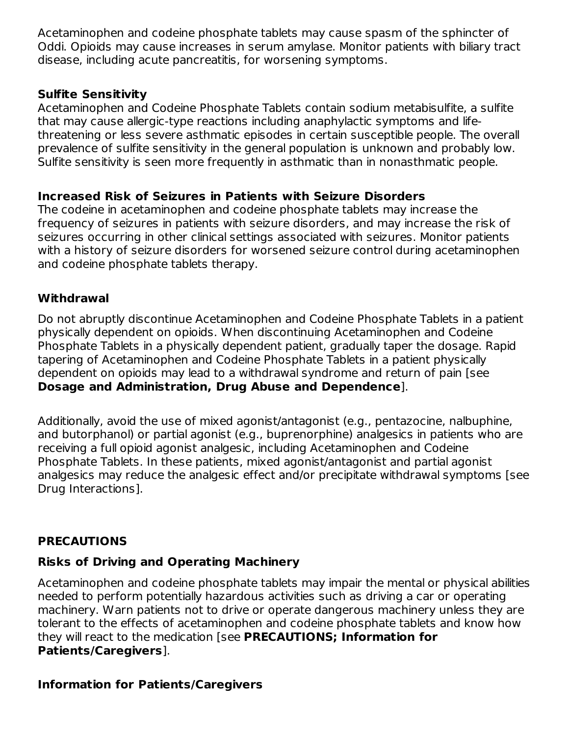Acetaminophen and codeine phosphate tablets may cause spasm of the sphincter of Oddi. Opioids may cause increases in serum amylase. Monitor patients with biliary tract disease, including acute pancreatitis, for worsening symptoms.

## **Sulfite Sensitivity**

Acetaminophen and Codeine Phosphate Tablets contain sodium metabisulfite, a sulfite that may cause allergic-type reactions including anaphylactic symptoms and lifethreatening or less severe asthmatic episodes in certain susceptible people. The overall prevalence of sulfite sensitivity in the general population is unknown and probably low. Sulfite sensitivity is seen more frequently in asthmatic than in nonasthmatic people.

# **Increased Risk of Seizures in Patients with Seizure Disorders**

The codeine in acetaminophen and codeine phosphate tablets may increase the frequency of seizures in patients with seizure disorders, and may increase the risk of seizures occurring in other clinical settings associated with seizures. Monitor patients with a history of seizure disorders for worsened seizure control during acetaminophen and codeine phosphate tablets therapy.

# **Withdrawal**

Do not abruptly discontinue Acetaminophen and Codeine Phosphate Tablets in a patient physically dependent on opioids. When discontinuing Acetaminophen and Codeine Phosphate Tablets in a physically dependent patient, gradually taper the dosage. Rapid tapering of Acetaminophen and Codeine Phosphate Tablets in a patient physically dependent on opioids may lead to a withdrawal syndrome and return of pain [see **Dosage and Administration, Drug Abuse and Dependence**].

Additionally, avoid the use of mixed agonist/antagonist (e.g., pentazocine, nalbuphine, and butorphanol) or partial agonist (e.g., buprenorphine) analgesics in patients who are receiving a full opioid agonist analgesic, including Acetaminophen and Codeine Phosphate Tablets. In these patients, mixed agonist/antagonist and partial agonist analgesics may reduce the analgesic effect and/or precipitate withdrawal symptoms [see Drug Interactions].

# **PRECAUTIONS**

# **Risks of Driving and Operating Machinery**

Acetaminophen and codeine phosphate tablets may impair the mental or physical abilities needed to perform potentially hazardous activities such as driving a car or operating machinery. Warn patients not to drive or operate dangerous machinery unless they are tolerant to the effects of acetaminophen and codeine phosphate tablets and know how they will react to the medication [see **PRECAUTIONS; Information for Patients/Caregivers**].

# **Information for Patients/Caregivers**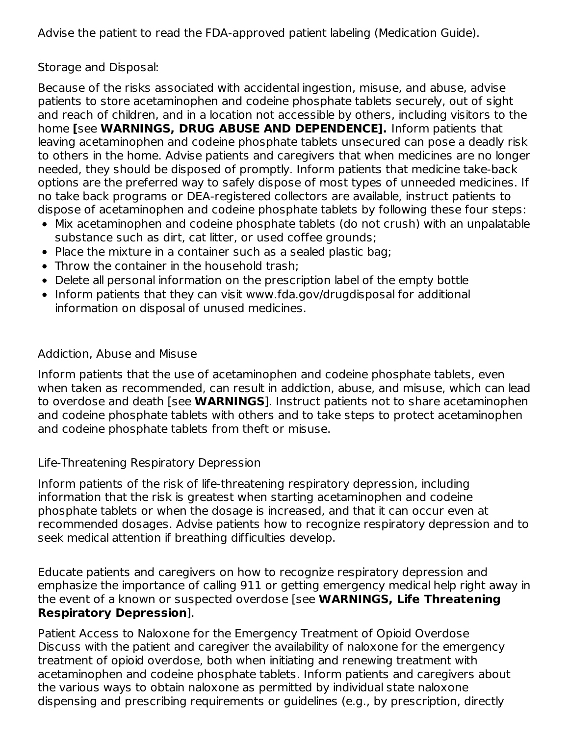Advise the patient to read the FDA-approved patient labeling (Medication Guide).

Storage and Disposal:

Because of the risks associated with accidental ingestion, misuse, and abuse, advise patients to store acetaminophen and codeine phosphate tablets securely, out of sight and reach of children, and in a location not accessible by others, including visitors to the home **[**see **WARNINGS, DRUG ABUSE AND DEPENDENCE].** Inform patients that leaving acetaminophen and codeine phosphate tablets unsecured can pose a deadly risk to others in the home. Advise patients and caregivers that when medicines are no longer needed, they should be disposed of promptly. Inform patients that medicine take-back options are the preferred way to safely dispose of most types of unneeded medicines. If no take back programs or DEA-registered collectors are available, instruct patients to dispose of acetaminophen and codeine phosphate tablets by following these four steps:

- Mix acetaminophen and codeine phosphate tablets (do not crush) with an unpalatable substance such as dirt, cat litter, or used coffee grounds;
- Place the mixture in a container such as a sealed plastic bag:
- Throw the container in the household trash;
- Delete all personal information on the prescription label of the empty bottle
- Inform patients that they can visit www.fda.gov/drugdisposal for additional information on disposal of unused medicines.

# Addiction, Abuse and Misuse

Inform patients that the use of acetaminophen and codeine phosphate tablets, even when taken as recommended, can result in addiction, abuse, and misuse, which can lead to overdose and death [see **WARNINGS**]. Instruct patients not to share acetaminophen and codeine phosphate tablets with others and to take steps to protect acetaminophen and codeine phosphate tablets from theft or misuse.

# Life-Threatening Respiratory Depression

Inform patients of the risk of life-threatening respiratory depression, including information that the risk is greatest when starting acetaminophen and codeine phosphate tablets or when the dosage is increased, and that it can occur even at recommended dosages. Advise patients how to recognize respiratory depression and to seek medical attention if breathing difficulties develop.

Educate patients and caregivers on how to recognize respiratory depression and emphasize the importance of calling 911 or getting emergency medical help right away in the event of a known or suspected overdose [see **WARNINGS, Life Threatening Respiratory Depression**].

Patient Access to Naloxone for the Emergency Treatment of Opioid Overdose Discuss with the patient and caregiver the availability of naloxone for the emergency treatment of opioid overdose, both when initiating and renewing treatment with acetaminophen and codeine phosphate tablets. Inform patients and caregivers about the various ways to obtain naloxone as permitted by individual state naloxone dispensing and prescribing requirements or guidelines (e.g., by prescription, directly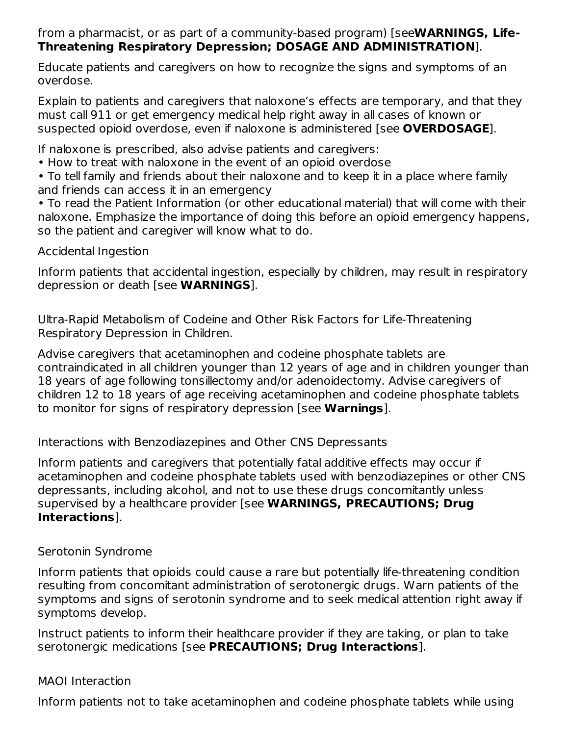#### from a pharmacist, or as part of a community-based program) [see**WARNINGS, Life-Threatening Respiratory Depression; DOSAGE AND ADMINISTRATION**].

Educate patients and caregivers on how to recognize the signs and symptoms of an overdose.

Explain to patients and caregivers that naloxone's effects are temporary, and that they must call 911 or get emergency medical help right away in all cases of known or suspected opioid overdose, even if naloxone is administered [see **OVERDOSAGE**].

If naloxone is prescribed, also advise patients and caregivers:

• How to treat with naloxone in the event of an opioid overdose

• To tell family and friends about their naloxone and to keep it in a place where family and friends can access it in an emergency

• To read the Patient Information (or other educational material) that will come with their naloxone. Emphasize the importance of doing this before an opioid emergency happens, so the patient and caregiver will know what to do.

Accidental Ingestion

Inform patients that accidental ingestion, especially by children, may result in respiratory depression or death [see **WARNINGS**].

Ultra-Rapid Metabolism of Codeine and Other Risk Factors for Life-Threatening Respiratory Depression in Children.

Advise caregivers that acetaminophen and codeine phosphate tablets are contraindicated in all children younger than 12 years of age and in children younger than 18 years of age following tonsillectomy and/or adenoidectomy. Advise caregivers of children 12 to 18 years of age receiving acetaminophen and codeine phosphate tablets to monitor for signs of respiratory depression [see **Warnings**].

Interactions with Benzodiazepines and Other CNS Depressants

Inform patients and caregivers that potentially fatal additive effects may occur if acetaminophen and codeine phosphate tablets used with benzodiazepines or other CNS depressants, including alcohol, and not to use these drugs concomitantly unless supervised by a healthcare provider [see **WARNINGS, PRECAUTIONS; Drug Interactions**].

# Serotonin Syndrome

Inform patients that opioids could cause a rare but potentially life-threatening condition resulting from concomitant administration of serotonergic drugs. Warn patients of the symptoms and signs of serotonin syndrome and to seek medical attention right away if symptoms develop.

Instruct patients to inform their healthcare provider if they are taking, or plan to take serotonergic medications [see **PRECAUTIONS; Drug Interactions**].

# MAOI Interaction

Inform patients not to take acetaminophen and codeine phosphate tablets while using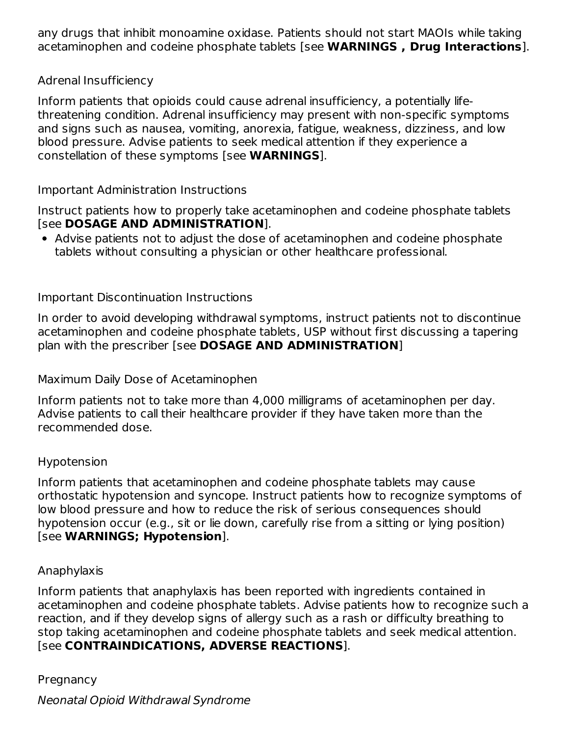any drugs that inhibit monoamine oxidase. Patients should not start MAOIs while taking acetaminophen and codeine phosphate tablets [see **WARNINGS , Drug Interactions**].

## Adrenal Insufficiency

Inform patients that opioids could cause adrenal insufficiency, a potentially lifethreatening condition. Adrenal insufficiency may present with non-specific symptoms and signs such as nausea, vomiting, anorexia, fatigue, weakness, dizziness, and low blood pressure. Advise patients to seek medical attention if they experience a constellation of these symptoms [see **WARNINGS**].

## Important Administration Instructions

Instruct patients how to properly take acetaminophen and codeine phosphate tablets [see **DOSAGE AND ADMINISTRATION**].

Advise patients not to adjust the dose of acetaminophen and codeine phosphate tablets without consulting a physician or other healthcare professional.

## Important Discontinuation Instructions

In order to avoid developing withdrawal symptoms, instruct patients not to discontinue acetaminophen and codeine phosphate tablets, USP without first discussing a tapering plan with the prescriber [see **DOSAGE AND ADMINISTRATION**]

Maximum Daily Dose of Acetaminophen

Inform patients not to take more than 4,000 milligrams of acetaminophen per day. Advise patients to call their healthcare provider if they have taken more than the recommended dose.

#### Hypotension

Inform patients that acetaminophen and codeine phosphate tablets may cause orthostatic hypotension and syncope. Instruct patients how to recognize symptoms of low blood pressure and how to reduce the risk of serious consequences should hypotension occur (e.g., sit or lie down, carefully rise from a sitting or lying position) [see **WARNINGS; Hypotension**].

#### Anaphylaxis

Inform patients that anaphylaxis has been reported with ingredients contained in acetaminophen and codeine phosphate tablets. Advise patients how to recognize such a reaction, and if they develop signs of allergy such as a rash or difficulty breathing to stop taking acetaminophen and codeine phosphate tablets and seek medical attention. [see **CONTRAINDICATIONS, ADVERSE REACTIONS**].

**Pregnancy** 

Neonatal Opioid Withdrawal Syndrome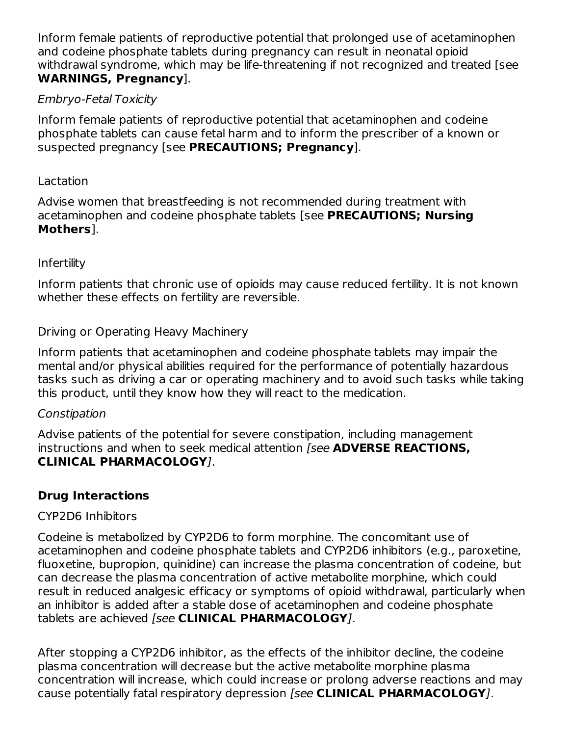Inform female patients of reproductive potential that prolonged use of acetaminophen and codeine phosphate tablets during pregnancy can result in neonatal opioid withdrawal syndrome, which may be life-threatening if not recognized and treated [see **WARNINGS, Pregnancy**].

## Embryo-Fetal Toxicity

Inform female patients of reproductive potential that acetaminophen and codeine phosphate tablets can cause fetal harm and to inform the prescriber of a known or suspected pregnancy [see **PRECAUTIONS; Pregnancy**].

#### Lactation

Advise women that breastfeeding is not recommended during treatment with acetaminophen and codeine phosphate tablets [see **PRECAUTIONS; Nursing Mothers**].

#### Infertility

Inform patients that chronic use of opioids may cause reduced fertility. It is not known whether these effects on fertility are reversible.

## Driving or Operating Heavy Machinery

Inform patients that acetaminophen and codeine phosphate tablets may impair the mental and/or physical abilities required for the performance of potentially hazardous tasks such as driving a car or operating machinery and to avoid such tasks while taking this product, until they know how they will react to the medication.

#### Constipation

Advise patients of the potential for severe constipation, including management instructions and when to seek medical attention [see **ADVERSE REACTIONS, CLINICAL PHARMACOLOGY**].

# **Drug Interactions**

#### CYP2D6 Inhibitors

Codeine is metabolized by CYP2D6 to form morphine. The concomitant use of acetaminophen and codeine phosphate tablets and CYP2D6 inhibitors (e.g., paroxetine, fluoxetine, bupropion, quinidine) can increase the plasma concentration of codeine, but can decrease the plasma concentration of active metabolite morphine, which could result in reduced analgesic efficacy or symptoms of opioid withdrawal, particularly when an inhibitor is added after a stable dose of acetaminophen and codeine phosphate tablets are achieved [see **CLINICAL PHARMACOLOGY**].

After stopping a CYP2D6 inhibitor, as the effects of the inhibitor decline, the codeine plasma concentration will decrease but the active metabolite morphine plasma concentration will increase, which could increase or prolong adverse reactions and may cause potentially fatal respiratory depression [see **CLINICAL PHARMACOLOGY**].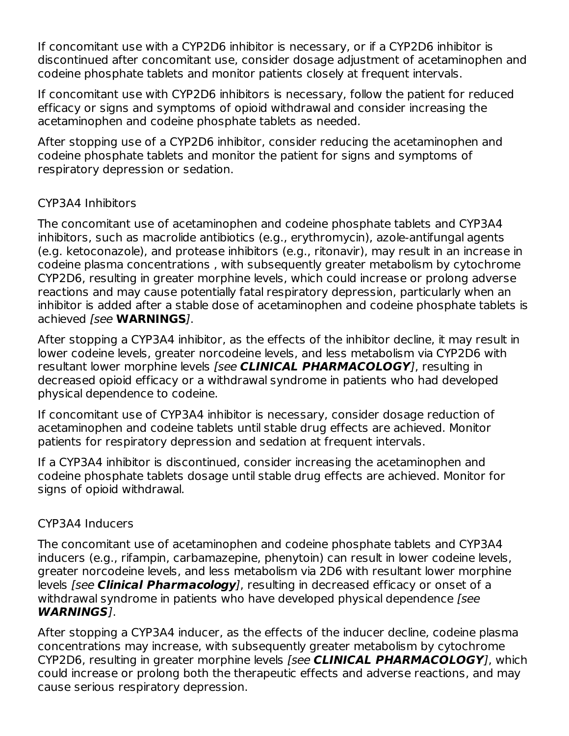If concomitant use with a CYP2D6 inhibitor is necessary, or if a CYP2D6 inhibitor is discontinued after concomitant use, consider dosage adjustment of acetaminophen and codeine phosphate tablets and monitor patients closely at frequent intervals.

If concomitant use with CYP2D6 inhibitors is necessary, follow the patient for reduced efficacy or signs and symptoms of opioid withdrawal and consider increasing the acetaminophen and codeine phosphate tablets as needed.

After stopping use of a CYP2D6 inhibitor, consider reducing the acetaminophen and codeine phosphate tablets and monitor the patient for signs and symptoms of respiratory depression or sedation.

## CYP3A4 Inhibitors

The concomitant use of acetaminophen and codeine phosphate tablets and CYP3A4 inhibitors, such as macrolide antibiotics (e.g., erythromycin), azole-antifungal agents (e.g. ketoconazole), and protease inhibitors (e.g., ritonavir), may result in an increase in codeine plasma concentrations , with subsequently greater metabolism by cytochrome CYP2D6, resulting in greater morphine levels, which could increase or prolong adverse reactions and may cause potentially fatal respiratory depression, particularly when an inhibitor is added after a stable dose of acetaminophen and codeine phosphate tablets is achieved [see **WARNINGS**].

After stopping a CYP3A4 inhibitor, as the effects of the inhibitor decline, it may result in lower codeine levels, greater norcodeine levels, and less metabolism via CYP2D6 with resultant lower morphine levels [see **CLINICAL PHARMACOLOGY**], resulting in decreased opioid efficacy or a withdrawal syndrome in patients who had developed physical dependence to codeine.

If concomitant use of CYP3A4 inhibitor is necessary, consider dosage reduction of acetaminophen and codeine tablets until stable drug effects are achieved. Monitor patients for respiratory depression and sedation at frequent intervals.

If a CYP3A4 inhibitor is discontinued, consider increasing the acetaminophen and codeine phosphate tablets dosage until stable drug effects are achieved. Monitor for signs of opioid withdrawal.

#### CYP3A4 Inducers

The concomitant use of acetaminophen and codeine phosphate tablets and CYP3A4 inducers (e.g., rifampin, carbamazepine, phenytoin) can result in lower codeine levels, greater norcodeine levels, and less metabolism via 2D6 with resultant lower morphine levels [see **Clinical Pharmacology**], resulting in decreased efficacy or onset of a withdrawal syndrome in patients who have developed physical dependence [see **WARNINGS**].

After stopping a CYP3A4 inducer, as the effects of the inducer decline, codeine plasma concentrations may increase, with subsequently greater metabolism by cytochrome CYP2D6, resulting in greater morphine levels [see **CLINICAL PHARMACOLOGY**], which could increase or prolong both the therapeutic effects and adverse reactions, and may cause serious respiratory depression.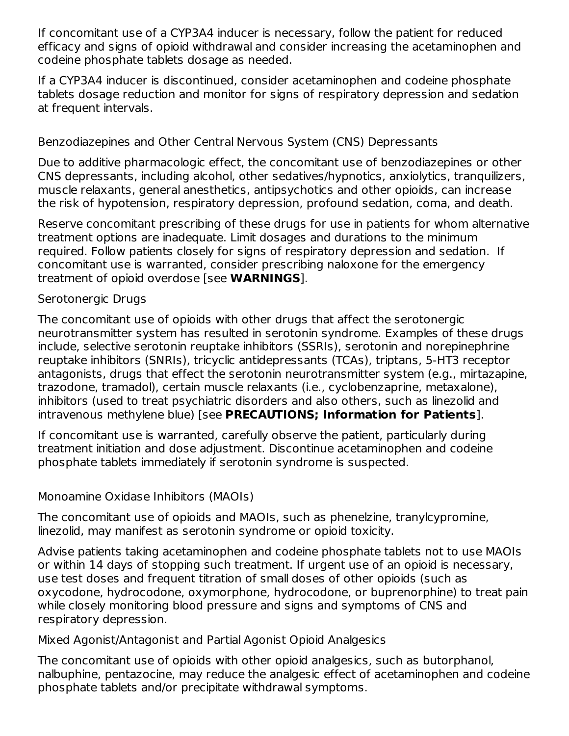If concomitant use of a CYP3A4 inducer is necessary, follow the patient for reduced efficacy and signs of opioid withdrawal and consider increasing the acetaminophen and codeine phosphate tablets dosage as needed.

If a CYP3A4 inducer is discontinued, consider acetaminophen and codeine phosphate tablets dosage reduction and monitor for signs of respiratory depression and sedation at frequent intervals.

## Benzodiazepines and Other Central Nervous System (CNS) Depressants

Due to additive pharmacologic effect, the concomitant use of benzodiazepines or other CNS depressants, including alcohol, other sedatives/hypnotics, anxiolytics, tranquilizers, muscle relaxants, general anesthetics, antipsychotics and other opioids, can increase the risk of hypotension, respiratory depression, profound sedation, coma, and death.

Reserve concomitant prescribing of these drugs for use in patients for whom alternative treatment options are inadequate. Limit dosages and durations to the minimum required. Follow patients closely for signs of respiratory depression and sedation. If concomitant use is warranted, consider prescribing naloxone for the emergency treatment of opioid overdose [see **WARNINGS**].

#### Serotonergic Drugs

The concomitant use of opioids with other drugs that affect the serotonergic neurotransmitter system has resulted in serotonin syndrome. Examples of these drugs include, selective serotonin reuptake inhibitors (SSRIs), serotonin and norepinephrine reuptake inhibitors (SNRIs), tricyclic antidepressants (TCAs), triptans, 5-HT3 receptor antagonists, drugs that effect the serotonin neurotransmitter system (e.g., mirtazapine, trazodone, tramadol), certain muscle relaxants (i.e., cyclobenzaprine, metaxalone), inhibitors (used to treat psychiatric disorders and also others, such as linezolid and intravenous methylene blue) [see **PRECAUTIONS; Information for Patients**].

If concomitant use is warranted, carefully observe the patient, particularly during treatment initiation and dose adjustment. Discontinue acetaminophen and codeine phosphate tablets immediately if serotonin syndrome is suspected.

#### Monoamine Oxidase Inhibitors (MAOIs)

The concomitant use of opioids and MAOIs, such as phenelzine, tranylcypromine, linezolid, may manifest as serotonin syndrome or opioid toxicity.

Advise patients taking acetaminophen and codeine phosphate tablets not to use MAOIs or within 14 days of stopping such treatment. If urgent use of an opioid is necessary, use test doses and frequent titration of small doses of other opioids (such as oxycodone, hydrocodone, oxymorphone, hydrocodone, or buprenorphine) to treat pain while closely monitoring blood pressure and signs and symptoms of CNS and respiratory depression.

Mixed Agonist/Antagonist and Partial Agonist Opioid Analgesics

The concomitant use of opioids with other opioid analgesics, such as butorphanol, nalbuphine, pentazocine, may reduce the analgesic effect of acetaminophen and codeine phosphate tablets and/or precipitate withdrawal symptoms.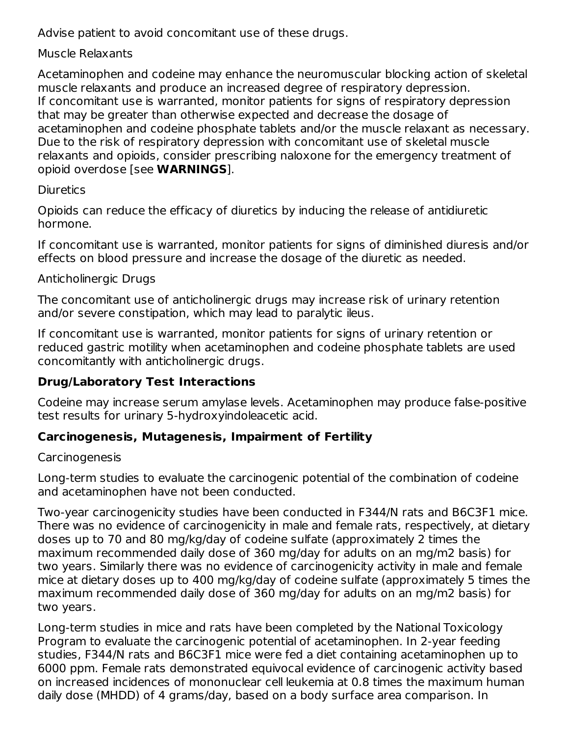Advise patient to avoid concomitant use of these drugs.

## Muscle Relaxants

Acetaminophen and codeine may enhance the neuromuscular blocking action of skeletal muscle relaxants and produce an increased degree of respiratory depression. If concomitant use is warranted, monitor patients for signs of respiratory depression that may be greater than otherwise expected and decrease the dosage of acetaminophen and codeine phosphate tablets and/or the muscle relaxant as necessary. Due to the risk of respiratory depression with concomitant use of skeletal muscle relaxants and opioids, consider prescribing naloxone for the emergency treatment of opioid overdose [see **WARNINGS**].

## **Diuretics**

Opioids can reduce the efficacy of diuretics by inducing the release of antidiuretic hormone.

If concomitant use is warranted, monitor patients for signs of diminished diuresis and/or effects on blood pressure and increase the dosage of the diuretic as needed.

## Anticholinergic Drugs

The concomitant use of anticholinergic drugs may increase risk of urinary retention and/or severe constipation, which may lead to paralytic ileus.

If concomitant use is warranted, monitor patients for signs of urinary retention or reduced gastric motility when acetaminophen and codeine phosphate tablets are used concomitantly with anticholinergic drugs.

# **Drug/Laboratory Test Interactions**

Codeine may increase serum amylase levels. Acetaminophen may produce false-positive test results for urinary 5-hydroxyindoleacetic acid.

# **Carcinogenesis, Mutagenesis, Impairment of Fertility**

# **Carcinogenesis**

Long-term studies to evaluate the carcinogenic potential of the combination of codeine and acetaminophen have not been conducted.

Two-year carcinogenicity studies have been conducted in F344/N rats and B6C3F1 mice. There was no evidence of carcinogenicity in male and female rats, respectively, at dietary doses up to 70 and 80 mg/kg/day of codeine sulfate (approximately 2 times the maximum recommended daily dose of 360 mg/day for adults on an mg/m2 basis) for two years. Similarly there was no evidence of carcinogenicity activity in male and female mice at dietary doses up to 400 mg/kg/day of codeine sulfate (approximately 5 times the maximum recommended daily dose of 360 mg/day for adults on an mg/m2 basis) for two years.

Long-term studies in mice and rats have been completed by the National Toxicology Program to evaluate the carcinogenic potential of acetaminophen. In 2-year feeding studies, F344/N rats and B6C3F1 mice were fed a diet containing acetaminophen up to 6000 ppm. Female rats demonstrated equivocal evidence of carcinogenic activity based on increased incidences of mononuclear cell leukemia at 0.8 times the maximum human daily dose (MHDD) of 4 grams/day, based on a body surface area comparison. In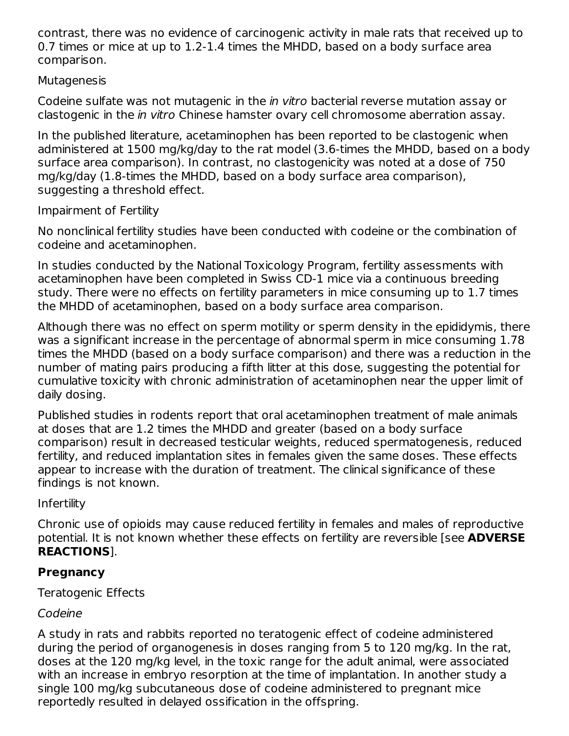contrast, there was no evidence of carcinogenic activity in male rats that received up to 0.7 times or mice at up to 1.2-1.4 times the MHDD, based on a body surface area comparison.

## Mutagenesis

Codeine sulfate was not mutagenic in the in vitro bacterial reverse mutation assay or clastogenic in the in vitro Chinese hamster ovary cell chromosome aberration assay.

In the published literature, acetaminophen has been reported to be clastogenic when administered at 1500 mg/kg/day to the rat model (3.6-times the MHDD, based on a body surface area comparison). In contrast, no clastogenicity was noted at a dose of 750 mg/kg/day (1.8-times the MHDD, based on a body surface area comparison), suggesting a threshold effect.

## Impairment of Fertility

No nonclinical fertility studies have been conducted with codeine or the combination of codeine and acetaminophen.

In studies conducted by the National Toxicology Program, fertility assessments with acetaminophen have been completed in Swiss CD-1 mice via a continuous breeding study. There were no effects on fertility parameters in mice consuming up to 1.7 times the MHDD of acetaminophen, based on a body surface area comparison.

Although there was no effect on sperm motility or sperm density in the epididymis, there was a significant increase in the percentage of abnormal sperm in mice consuming 1.78 times the MHDD (based on a body surface comparison) and there was a reduction in the number of mating pairs producing a fifth litter at this dose, suggesting the potential for cumulative toxicity with chronic administration of acetaminophen near the upper limit of daily dosing.

Published studies in rodents report that oral acetaminophen treatment of male animals at doses that are 1.2 times the MHDD and greater (based on a body surface comparison) result in decreased testicular weights, reduced spermatogenesis, reduced fertility, and reduced implantation sites in females given the same doses. These effects appear to increase with the duration of treatment. The clinical significance of these findings is not known.

# Infertility

Chronic use of opioids may cause reduced fertility in females and males of reproductive potential. It is not known whether these effects on fertility are reversible [see **ADVERSE REACTIONS**].

# **Pregnancy**

Teratogenic Effects

# Codeine

A study in rats and rabbits reported no teratogenic effect of codeine administered during the period of organogenesis in doses ranging from 5 to 120 mg/kg. In the rat, doses at the 120 mg/kg level, in the toxic range for the adult animal, were associated with an increase in embryo resorption at the time of implantation. In another study a single 100 mg/kg subcutaneous dose of codeine administered to pregnant mice reportedly resulted in delayed ossification in the offspring.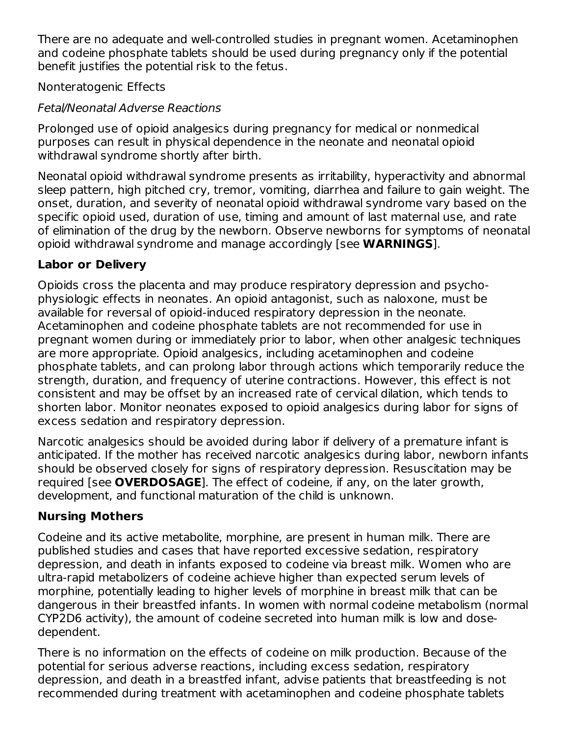There are no adequate and well-controlled studies in pregnant women. Acetaminophen and codeine phosphate tablets should be used during pregnancy only if the potential benefit justifies the potential risk to the fetus.

Nonteratogenic Effects

# Fetal/Neonatal Adverse Reactions

Prolonged use of opioid analgesics during pregnancy for medical or nonmedical purposes can result in physical dependence in the neonate and neonatal opioid withdrawal syndrome shortly after birth.

Neonatal opioid withdrawal syndrome presents as irritability, hyperactivity and abnormal sleep pattern, high pitched cry, tremor, vomiting, diarrhea and failure to gain weight. The onset, duration, and severity of neonatal opioid withdrawal syndrome vary based on the specific opioid used, duration of use, timing and amount of last maternal use, and rate of elimination of the drug by the newborn. Observe newborns for symptoms of neonatal opioid withdrawal syndrome and manage accordingly [see **WARNINGS**].

# **Labor or Delivery**

Opioids cross the placenta and may produce respiratory depression and psychophysiologic effects in neonates. An opioid antagonist, such as naloxone, must be available for reversal of opioid-induced respiratory depression in the neonate. Acetaminophen and codeine phosphate tablets are not recommended for use in pregnant women during or immediately prior to labor, when other analgesic techniques are more appropriate. Opioid analgesics, including acetaminophen and codeine phosphate tablets, and can prolong labor through actions which temporarily reduce the strength, duration, and frequency of uterine contractions. However, this effect is not consistent and may be offset by an increased rate of cervical dilation, which tends to shorten labor. Monitor neonates exposed to opioid analgesics during labor for signs of excess sedation and respiratory depression.

Narcotic analgesics should be avoided during labor if delivery of a premature infant is anticipated. If the mother has received narcotic analgesics during labor, newborn infants should be observed closely for signs of respiratory depression. Resuscitation may be required [see **OVERDOSAGE**]. The effect of codeine, if any, on the later growth, development, and functional maturation of the child is unknown.

# **Nursing Mothers**

Codeine and its active metabolite, morphine, are present in human milk. There are published studies and cases that have reported excessive sedation, respiratory depression, and death in infants exposed to codeine via breast milk. Women who are ultra-rapid metabolizers of codeine achieve higher than expected serum levels of morphine, potentially leading to higher levels of morphine in breast milk that can be dangerous in their breastfed infants. In women with normal codeine metabolism (normal CYP2D6 activity), the amount of codeine secreted into human milk is low and dosedependent.

There is no information on the effects of codeine on milk production. Because of the potential for serious adverse reactions, including excess sedation, respiratory depression, and death in a breastfed infant, advise patients that breastfeeding is not recommended during treatment with acetaminophen and codeine phosphate tablets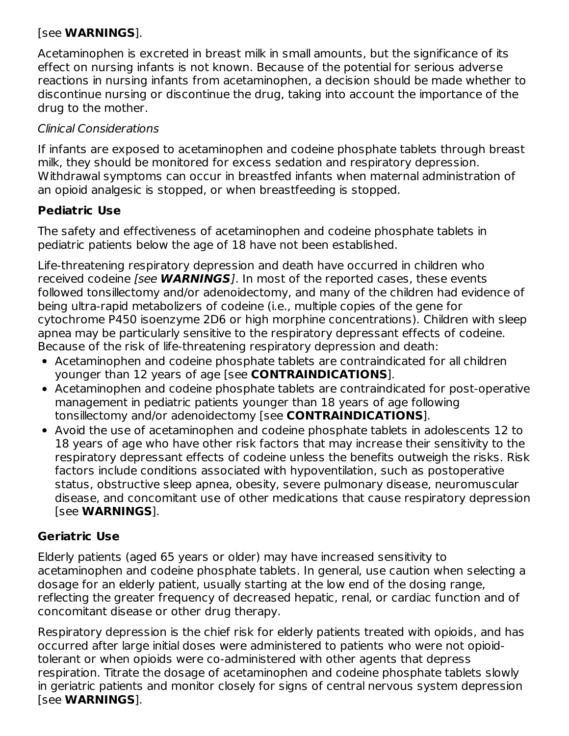## [see **WARNINGS**].

Acetaminophen is excreted in breast milk in small amounts, but the significance of its effect on nursing infants is not known. Because of the potential for serious adverse reactions in nursing infants from acetaminophen, a decision should be made whether to discontinue nursing or discontinue the drug, taking into account the importance of the drug to the mother.

# Clinical Considerations

If infants are exposed to acetaminophen and codeine phosphate tablets through breast milk, they should be monitored for excess sedation and respiratory depression. Withdrawal symptoms can occur in breastfed infants when maternal administration of an opioid analgesic is stopped, or when breastfeeding is stopped.

# **Pediatric Use**

The safety and effectiveness of acetaminophen and codeine phosphate tablets in pediatric patients below the age of 18 have not been established.

Life-threatening respiratory depression and death have occurred in children who received codeine [see **WARNINGS**]. In most of the reported cases, these events followed tonsillectomy and/or adenoidectomy, and many of the children had evidence of being ultra-rapid metabolizers of codeine (i.e., multiple copies of the gene for cytochrome P450 isoenzyme 2D6 or high morphine concentrations). Children with sleep apnea may be particularly sensitive to the respiratory depressant effects of codeine. Because of the risk of life-threatening respiratory depression and death:

- Acetaminophen and codeine phosphate tablets are contraindicated for all children younger than 12 years of age [see **CONTRAINDICATIONS**].
- Acetaminophen and codeine phosphate tablets are contraindicated for post-operative management in pediatric patients younger than 18 years of age following tonsillectomy and/or adenoidectomy [see **CONTRAINDICATIONS**].
- Avoid the use of acetaminophen and codeine phosphate tablets in adolescents 12 to 18 years of age who have other risk factors that may increase their sensitivity to the respiratory depressant effects of codeine unless the benefits outweigh the risks. Risk factors include conditions associated with hypoventilation, such as postoperative status, obstructive sleep apnea, obesity, severe pulmonary disease, neuromuscular disease, and concomitant use of other medications that cause respiratory depression [see **WARNINGS**].

# **Geriatric Use**

Elderly patients (aged 65 years or older) may have increased sensitivity to acetaminophen and codeine phosphate tablets. In general, use caution when selecting a dosage for an elderly patient, usually starting at the low end of the dosing range, reflecting the greater frequency of decreased hepatic, renal, or cardiac function and of concomitant disease or other drug therapy.

Respiratory depression is the chief risk for elderly patients treated with opioids, and has occurred after large initial doses were administered to patients who were not opioidtolerant or when opioids were co-administered with other agents that depress respiration. Titrate the dosage of acetaminophen and codeine phosphate tablets slowly in geriatric patients and monitor closely for signs of central nervous system depression [see **WARNINGS**].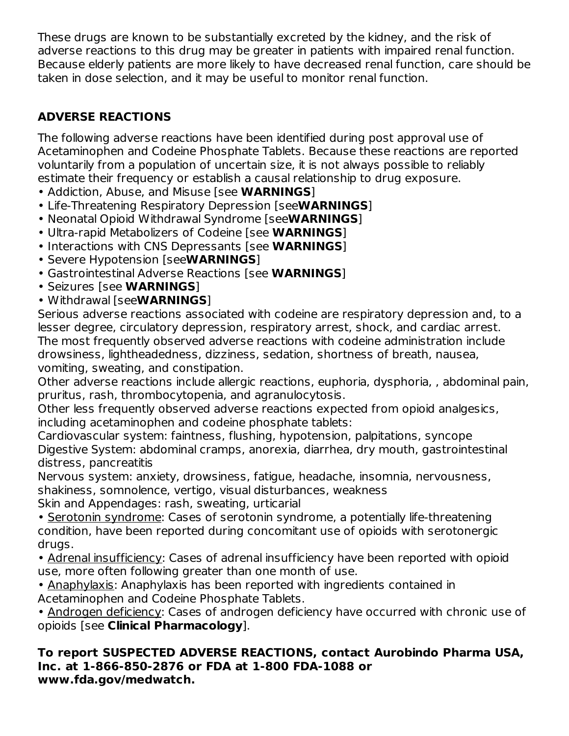These drugs are known to be substantially excreted by the kidney, and the risk of adverse reactions to this drug may be greater in patients with impaired renal function. Because elderly patients are more likely to have decreased renal function, care should be taken in dose selection, and it may be useful to monitor renal function.

# **ADVERSE REACTIONS**

The following adverse reactions have been identified during post approval use of Acetaminophen and Codeine Phosphate Tablets. Because these reactions are reported voluntarily from a population of uncertain size, it is not always possible to reliably estimate their frequency or establish a causal relationship to drug exposure.

- Addiction, Abuse, and Misuse [see **WARNINGS**]
- Life-Threatening Respiratory Depression [see**WARNINGS**]
- Neonatal Opioid Withdrawal Syndrome [see**WARNINGS**]
- Ultra-rapid Metabolizers of Codeine [see **WARNINGS**]
- Interactions with CNS Depressants [see **WARNINGS**]
- Severe Hypotension [see**WARNINGS**]
- Gastrointestinal Adverse Reactions [see **WARNINGS**]
- Seizures [see **WARNINGS**]
- Withdrawal [see**WARNINGS**]

Serious adverse reactions associated with codeine are respiratory depression and, to a lesser degree, circulatory depression, respiratory arrest, shock, and cardiac arrest. The most frequently observed adverse reactions with codeine administration include drowsiness, lightheadedness, dizziness, sedation, shortness of breath, nausea, vomiting, sweating, and constipation.

Other adverse reactions include allergic reactions, euphoria, dysphoria, , abdominal pain, pruritus, rash, thrombocytopenia, and agranulocytosis.

Other less frequently observed adverse reactions expected from opioid analgesics, including acetaminophen and codeine phosphate tablets:

Cardiovascular system: faintness, flushing, hypotension, palpitations, syncope Digestive System: abdominal cramps, anorexia, diarrhea, dry mouth, gastrointestinal distress, pancreatitis

Nervous system: anxiety, drowsiness, fatigue, headache, insomnia, nervousness, shakiness, somnolence, vertigo, visual disturbances, weakness

Skin and Appendages: rash, sweating, urticarial

• Serotonin syndrome: Cases of serotonin syndrome, a potentially life-threatening condition, have been reported during concomitant use of opioids with serotonergic drugs.

• Adrenal insufficiency: Cases of adrenal insufficiency have been reported with opioid use, more often following greater than one month of use.

• Anaphylaxis: Anaphylaxis has been reported with ingredients contained in Acetaminophen and Codeine Phosphate Tablets.

• Androgen deficiency: Cases of androgen deficiency have occurred with chronic use of opioids [see **Clinical Pharmacology**].

#### **To report SUSPECTED ADVERSE REACTIONS, contact Aurobindo Pharma USA, Inc. at 1-866-850-2876 or FDA at 1-800 FDA-1088 or www.fda.gov/medwatch.**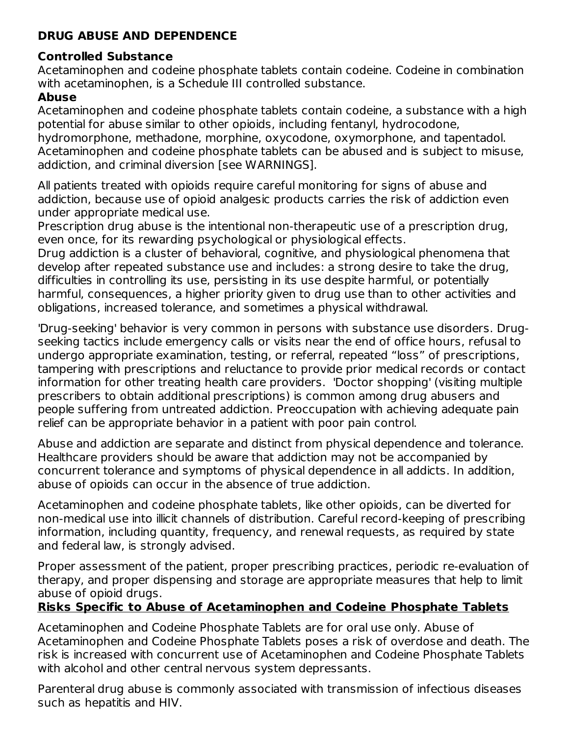# **DRUG ABUSE AND DEPENDENCE**

# **Controlled Substance**

Acetaminophen and codeine phosphate tablets contain codeine. Codeine in combination with acetaminophen, is a Schedule III controlled substance.

# **Abuse**

Acetaminophen and codeine phosphate tablets contain codeine, a substance with a high potential for abuse similar to other opioids, including fentanyl, hydrocodone, hydromorphone, methadone, morphine, oxycodone, oxymorphone, and tapentadol. Acetaminophen and codeine phosphate tablets can be abused and is subject to misuse, addiction, and criminal diversion [see WARNINGS].

All patients treated with opioids require careful monitoring for signs of abuse and addiction, because use of opioid analgesic products carries the risk of addiction even under appropriate medical use.

Prescription drug abuse is the intentional non-therapeutic use of a prescription drug, even once, for its rewarding psychological or physiological effects.

Drug addiction is a cluster of behavioral, cognitive, and physiological phenomena that develop after repeated substance use and includes: a strong desire to take the drug, difficulties in controlling its use, persisting in its use despite harmful, or potentially harmful, consequences, a higher priority given to drug use than to other activities and obligations, increased tolerance, and sometimes a physical withdrawal.

'Drug-seeking' behavior is very common in persons with substance use disorders. Drugseeking tactics include emergency calls or visits near the end of office hours, refusal to undergo appropriate examination, testing, or referral, repeated "loss" of prescriptions, tampering with prescriptions and reluctance to provide prior medical records or contact information for other treating health care providers. 'Doctor shopping' (visiting multiple prescribers to obtain additional prescriptions) is common among drug abusers and people suffering from untreated addiction. Preoccupation with achieving adequate pain relief can be appropriate behavior in a patient with poor pain control.

Abuse and addiction are separate and distinct from physical dependence and tolerance. Healthcare providers should be aware that addiction may not be accompanied by concurrent tolerance and symptoms of physical dependence in all addicts. In addition, abuse of opioids can occur in the absence of true addiction.

Acetaminophen and codeine phosphate tablets, like other opioids, can be diverted for non-medical use into illicit channels of distribution. Careful record-keeping of prescribing information, including quantity, frequency, and renewal requests, as required by state and federal law, is strongly advised.

Proper assessment of the patient, proper prescribing practices, periodic re-evaluation of therapy, and proper dispensing and storage are appropriate measures that help to limit abuse of opioid drugs.

# **Risks Specific to Abuse of Acetaminophen and Codeine Phosphate Tablets**

Acetaminophen and Codeine Phosphate Tablets are for oral use only. Abuse of Acetaminophen and Codeine Phosphate Tablets poses a risk of overdose and death. The risk is increased with concurrent use of Acetaminophen and Codeine Phosphate Tablets with alcohol and other central nervous system depressants.

Parenteral drug abuse is commonly associated with transmission of infectious diseases such as hepatitis and HIV.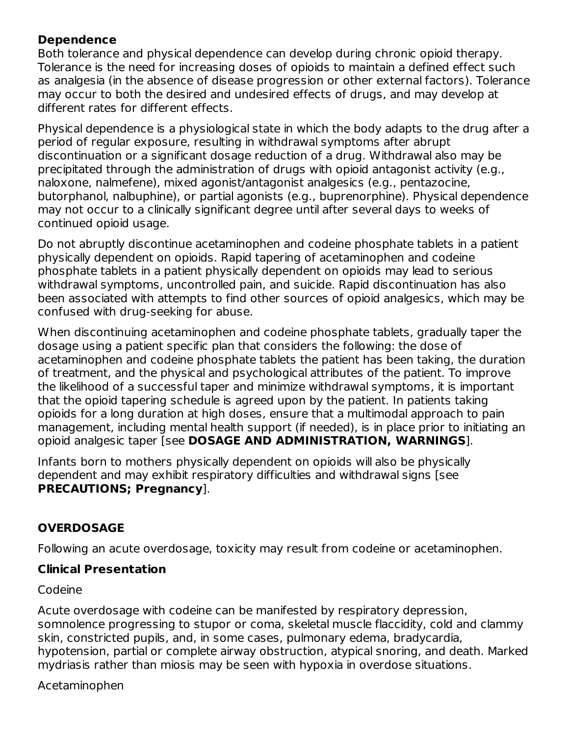# **Dependence**

Both tolerance and physical dependence can develop during chronic opioid therapy. Tolerance is the need for increasing doses of opioids to maintain a defined effect such as analgesia (in the absence of disease progression or other external factors). Tolerance may occur to both the desired and undesired effects of drugs, and may develop at different rates for different effects.

Physical dependence is a physiological state in which the body adapts to the drug after a period of regular exposure, resulting in withdrawal symptoms after abrupt discontinuation or a significant dosage reduction of a drug. Withdrawal also may be precipitated through the administration of drugs with opioid antagonist activity (e.g., naloxone, nalmefene), mixed agonist/antagonist analgesics (e.g., pentazocine, butorphanol, nalbuphine), or partial agonists (e.g., buprenorphine). Physical dependence may not occur to a clinically significant degree until after several days to weeks of continued opioid usage.

Do not abruptly discontinue acetaminophen and codeine phosphate tablets in a patient physically dependent on opioids. Rapid tapering of acetaminophen and codeine phosphate tablets in a patient physically dependent on opioids may lead to serious withdrawal symptoms, uncontrolled pain, and suicide. Rapid discontinuation has also been associated with attempts to find other sources of opioid analgesics, which may be confused with drug-seeking for abuse.

When discontinuing acetaminophen and codeine phosphate tablets, gradually taper the dosage using a patient specific plan that considers the following: the dose of acetaminophen and codeine phosphate tablets the patient has been taking, the duration of treatment, and the physical and psychological attributes of the patient. To improve the likelihood of a successful taper and minimize withdrawal symptoms, it is important that the opioid tapering schedule is agreed upon by the patient. In patients taking opioids for a long duration at high doses, ensure that a multimodal approach to pain management, including mental health support (if needed), is in place prior to initiating an opioid analgesic taper [see **DOSAGE AND ADMINISTRATION, WARNINGS**].

Infants born to mothers physically dependent on opioids will also be physically dependent and may exhibit respiratory difficulties and withdrawal signs [see **PRECAUTIONS; Pregnancy**].

# **OVERDOSAGE**

Following an acute overdosage, toxicity may result from codeine or acetaminophen.

#### **Clinical Presentation**

Codeine

Acute overdosage with codeine can be manifested by respiratory depression, somnolence progressing to stupor or coma, skeletal muscle flaccidity, cold and clammy skin, constricted pupils, and, in some cases, pulmonary edema, bradycardia, hypotension, partial or complete airway obstruction, atypical snoring, and death. Marked mydriasis rather than miosis may be seen with hypoxia in overdose situations.

Acetaminophen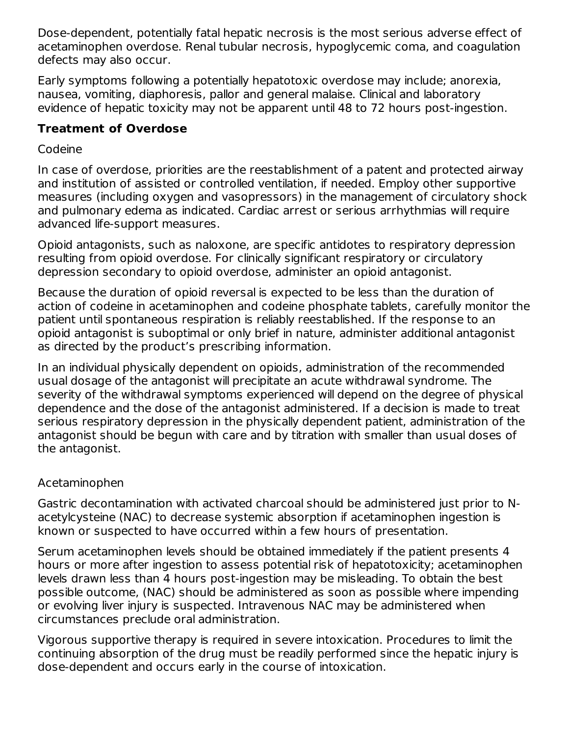Dose-dependent, potentially fatal hepatic necrosis is the most serious adverse effect of acetaminophen overdose. Renal tubular necrosis, hypoglycemic coma, and coagulation defects may also occur.

Early symptoms following a potentially hepatotoxic overdose may include; anorexia, nausea, vomiting, diaphoresis, pallor and general malaise. Clinical and laboratory evidence of hepatic toxicity may not be apparent until 48 to 72 hours post-ingestion.

# **Treatment of Overdose**

# Codeine

In case of overdose, priorities are the reestablishment of a patent and protected airway and institution of assisted or controlled ventilation, if needed. Employ other supportive measures (including oxygen and vasopressors) in the management of circulatory shock and pulmonary edema as indicated. Cardiac arrest or serious arrhythmias will require advanced life-support measures.

Opioid antagonists, such as naloxone, are specific antidotes to respiratory depression resulting from opioid overdose. For clinically significant respiratory or circulatory depression secondary to opioid overdose, administer an opioid antagonist.

Because the duration of opioid reversal is expected to be less than the duration of action of codeine in acetaminophen and codeine phosphate tablets, carefully monitor the patient until spontaneous respiration is reliably reestablished. If the response to an opioid antagonist is suboptimal or only brief in nature, administer additional antagonist as directed by the product's prescribing information.

In an individual physically dependent on opioids, administration of the recommended usual dosage of the antagonist will precipitate an acute withdrawal syndrome. The severity of the withdrawal symptoms experienced will depend on the degree of physical dependence and the dose of the antagonist administered. If a decision is made to treat serious respiratory depression in the physically dependent patient, administration of the antagonist should be begun with care and by titration with smaller than usual doses of the antagonist.

# Acetaminophen

Gastric decontamination with activated charcoal should be administered just prior to Nacetylcysteine (NAC) to decrease systemic absorption if acetaminophen ingestion is known or suspected to have occurred within a few hours of presentation.

Serum acetaminophen levels should be obtained immediately if the patient presents 4 hours or more after ingestion to assess potential risk of hepatotoxicity; acetaminophen levels drawn less than 4 hours post-ingestion may be misleading. To obtain the best possible outcome, (NAC) should be administered as soon as possible where impending or evolving liver injury is suspected. Intravenous NAC may be administered when circumstances preclude oral administration.

Vigorous supportive therapy is required in severe intoxication. Procedures to limit the continuing absorption of the drug must be readily performed since the hepatic injury is dose-dependent and occurs early in the course of intoxication.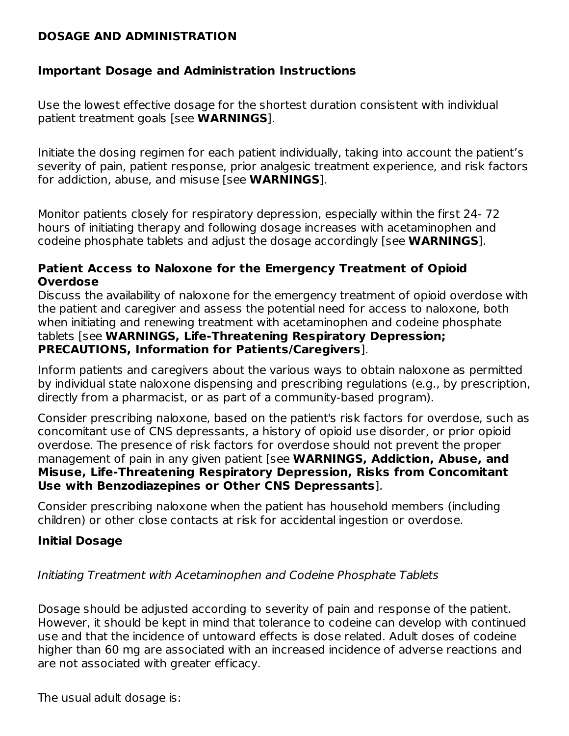#### **DOSAGE AND ADMINISTRATION**

## **Important Dosage and Administration Instructions**

Use the lowest effective dosage for the shortest duration consistent with individual patient treatment goals [see **WARNINGS**].

Initiate the dosing regimen for each patient individually, taking into account the patient's severity of pain, patient response, prior analgesic treatment experience, and risk factors for addiction, abuse, and misuse [see **WARNINGS**].

Monitor patients closely for respiratory depression, especially within the first 24- 72 hours of initiating therapy and following dosage increases with acetaminophen and codeine phosphate tablets and adjust the dosage accordingly [see **WARNINGS**].

#### **Patient Access to Naloxone for the Emergency Treatment of Opioid Overdose**

Discuss the availability of naloxone for the emergency treatment of opioid overdose with the patient and caregiver and assess the potential need for access to naloxone, both when initiating and renewing treatment with acetaminophen and codeine phosphate tablets [see **WARNINGS, Life-Threatening Respiratory Depression; PRECAUTIONS, Information for Patients/Caregivers**].

Inform patients and caregivers about the various ways to obtain naloxone as permitted by individual state naloxone dispensing and prescribing regulations (e.g., by prescription, directly from a pharmacist, or as part of a community-based program).

Consider prescribing naloxone, based on the patient's risk factors for overdose, such as concomitant use of CNS depressants, a history of opioid use disorder, or prior opioid overdose. The presence of risk factors for overdose should not prevent the proper management of pain in any given patient [see **WARNINGS, Addiction, Abuse, and Misuse, Life-Threatening Respiratory Depression, Risks from Concomitant Use with Benzodiazepines or Other CNS Depressants**].

Consider prescribing naloxone when the patient has household members (including children) or other close contacts at risk for accidental ingestion or overdose.

#### **Initial Dosage**

#### Initiating Treatment with Acetaminophen and Codeine Phosphate Tablets

Dosage should be adjusted according to severity of pain and response of the patient. However, it should be kept in mind that tolerance to codeine can develop with continued use and that the incidence of untoward effects is dose related. Adult doses of codeine higher than 60 mg are associated with an increased incidence of adverse reactions and are not associated with greater efficacy.

The usual adult dosage is: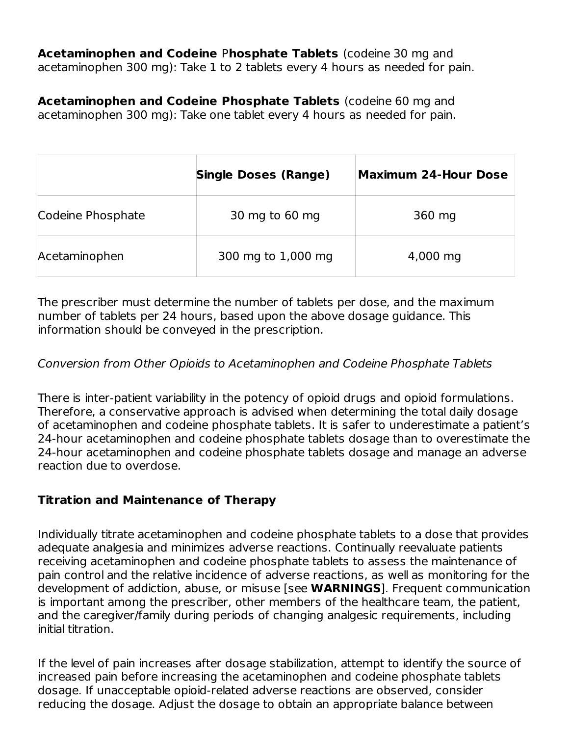**Acetaminophen and Codeine** P**hosphate Tablets** (codeine 30 mg and acetaminophen 300 mg): Take 1 to 2 tablets every 4 hours as needed for pain.

**Acetaminophen and Codeine Phosphate Tablets** (codeine 60 mg and acetaminophen 300 mg): Take one tablet every 4 hours as needed for pain.

|                   | <b>Single Doses (Range)</b> | <b>Maximum 24-Hour Dose</b> |
|-------------------|-----------------------------|-----------------------------|
| Codeine Phosphate | 30 mg to 60 mg              | 360 mg                      |
| Acetaminophen     | 300 mg to 1,000 mg          | 4,000 mg                    |

The prescriber must determine the number of tablets per dose, and the maximum number of tablets per 24 hours, based upon the above dosage guidance. This information should be conveyed in the prescription.

## Conversion from Other Opioids to Acetaminophen and Codeine Phosphate Tablets

There is inter-patient variability in the potency of opioid drugs and opioid formulations. Therefore, a conservative approach is advised when determining the total daily dosage of acetaminophen and codeine phosphate tablets. It is safer to underestimate a patient's 24-hour acetaminophen and codeine phosphate tablets dosage than to overestimate the 24-hour acetaminophen and codeine phosphate tablets dosage and manage an adverse reaction due to overdose.

# **Titration and Maintenance of Therapy**

Individually titrate acetaminophen and codeine phosphate tablets to a dose that provides adequate analgesia and minimizes adverse reactions. Continually reevaluate patients receiving acetaminophen and codeine phosphate tablets to assess the maintenance of pain control and the relative incidence of adverse reactions, as well as monitoring for the development of addiction, abuse, or misuse [see **WARNINGS**]. Frequent communication is important among the prescriber, other members of the healthcare team, the patient, and the caregiver/family during periods of changing analgesic requirements, including initial titration.

If the level of pain increases after dosage stabilization, attempt to identify the source of increased pain before increasing the acetaminophen and codeine phosphate tablets dosage. If unacceptable opioid-related adverse reactions are observed, consider reducing the dosage. Adjust the dosage to obtain an appropriate balance between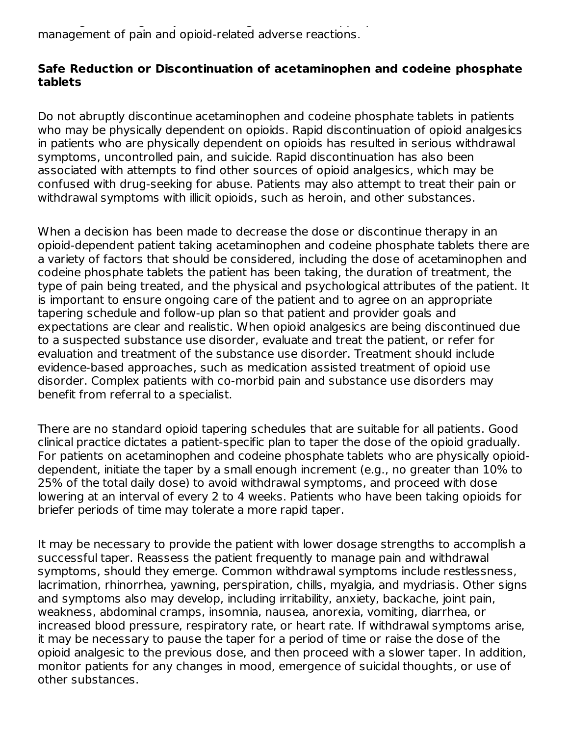reducing the dosage. Adjust the dosage to obtain an appropriate balance between management of pain and opioid-related adverse reactions.

#### **Safe Reduction or Discontinuation of acetaminophen and codeine phosphate tablets**

Do not abruptly discontinue acetaminophen and codeine phosphate tablets in patients who may be physically dependent on opioids. Rapid discontinuation of opioid analgesics in patients who are physically dependent on opioids has resulted in serious withdrawal symptoms, uncontrolled pain, and suicide. Rapid discontinuation has also been associated with attempts to find other sources of opioid analgesics, which may be confused with drug-seeking for abuse. Patients may also attempt to treat their pain or withdrawal symptoms with illicit opioids, such as heroin, and other substances.

When a decision has been made to decrease the dose or discontinue therapy in an opioid-dependent patient taking acetaminophen and codeine phosphate tablets there are a variety of factors that should be considered, including the dose of acetaminophen and codeine phosphate tablets the patient has been taking, the duration of treatment, the type of pain being treated, and the physical and psychological attributes of the patient. It is important to ensure ongoing care of the patient and to agree on an appropriate tapering schedule and follow-up plan so that patient and provider goals and expectations are clear and realistic. When opioid analgesics are being discontinued due to a suspected substance use disorder, evaluate and treat the patient, or refer for evaluation and treatment of the substance use disorder. Treatment should include evidence-based approaches, such as medication assisted treatment of opioid use disorder. Complex patients with co-morbid pain and substance use disorders may benefit from referral to a specialist.

There are no standard opioid tapering schedules that are suitable for all patients. Good clinical practice dictates a patient-specific plan to taper the dose of the opioid gradually. For patients on acetaminophen and codeine phosphate tablets who are physically opioiddependent, initiate the taper by a small enough increment (e.g., no greater than 10% to 25% of the total daily dose) to avoid withdrawal symptoms, and proceed with dose lowering at an interval of every 2 to 4 weeks. Patients who have been taking opioids for briefer periods of time may tolerate a more rapid taper.

It may be necessary to provide the patient with lower dosage strengths to accomplish a successful taper. Reassess the patient frequently to manage pain and withdrawal symptoms, should they emerge. Common withdrawal symptoms include restlessness, lacrimation, rhinorrhea, yawning, perspiration, chills, myalgia, and mydriasis. Other signs and symptoms also may develop, including irritability, anxiety, backache, joint pain, weakness, abdominal cramps, insomnia, nausea, anorexia, vomiting, diarrhea, or increased blood pressure, respiratory rate, or heart rate. If withdrawal symptoms arise, it may be necessary to pause the taper for a period of time or raise the dose of the opioid analgesic to the previous dose, and then proceed with a slower taper. In addition, monitor patients for any changes in mood, emergence of suicidal thoughts, or use of other substances.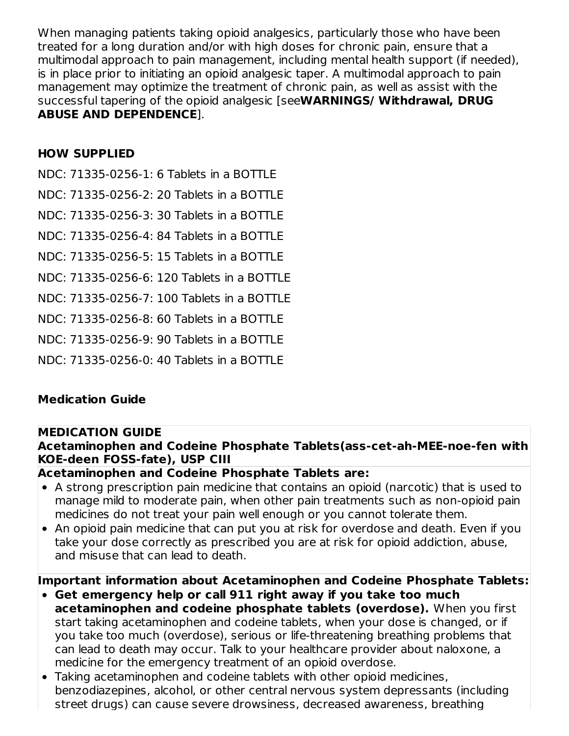When managing patients taking opioid analgesics, particularly those who have been treated for a long duration and/or with high doses for chronic pain, ensure that a multimodal approach to pain management, including mental health support (if needed), is in place prior to initiating an opioid analgesic taper. A multimodal approach to pain management may optimize the treatment of chronic pain, as well as assist with the successful tapering of the opioid analgesic [see**WARNINGS/ Withdrawal, DRUG ABUSE AND DEPENDENCE**].

#### **HOW SUPPLIED**

NDC: 71335-0256-1: 6 Tablets in a BOTTLE

NDC: 71335-0256-2: 20 Tablets in a BOTTLE

NDC: 71335-0256-3: 30 Tablets in a BOTTLE

NDC: 71335-0256-4: 84 Tablets in a BOTTLE

NDC: 71335-0256-5: 15 Tablets in a BOTTLE

NDC: 71335-0256-6: 120 Tablets in a BOTTLE

NDC: 71335-0256-7: 100 Tablets in a BOTTLE

NDC: 71335-0256-8: 60 Tablets in a BOTTLE

NDC: 71335-0256-9: 90 Tablets in a BOTTLE

NDC: 71335-0256-0: 40 Tablets in a BOTTLE

# **Medication Guide**

#### **MEDICATION GUIDE**

#### **Acetaminophen and Codeine Phosphate Tablets(ass-cet-ah-MEE-noe-fen with KOE-deen FOSS-fate), USP CIII**

#### **Acetaminophen and Codeine Phosphate Tablets are:**

- A strong prescription pain medicine that contains an opioid (narcotic) that is used to manage mild to moderate pain, when other pain treatments such as non-opioid pain medicines do not treat your pain well enough or you cannot tolerate them.
- An opioid pain medicine that can put you at risk for overdose and death. Even if you take your dose correctly as prescribed you are at risk for opioid addiction, abuse, and misuse that can lead to death.

**Important information about Acetaminophen and Codeine Phosphate Tablets:**

- **Get emergency help or call 911 right away if you take too much acetaminophen and codeine phosphate tablets (overdose).** When you first start taking acetaminophen and codeine tablets, when your dose is changed, or if you take too much (overdose), serious or life-threatening breathing problems that can lead to death may occur. Talk to your healthcare provider about naloxone, a medicine for the emergency treatment of an opioid overdose.
- Taking acetaminophen and codeine tablets with other opioid medicines, benzodiazepines, alcohol, or other central nervous system depressants (including street drugs) can cause severe drowsiness, decreased awareness, breathing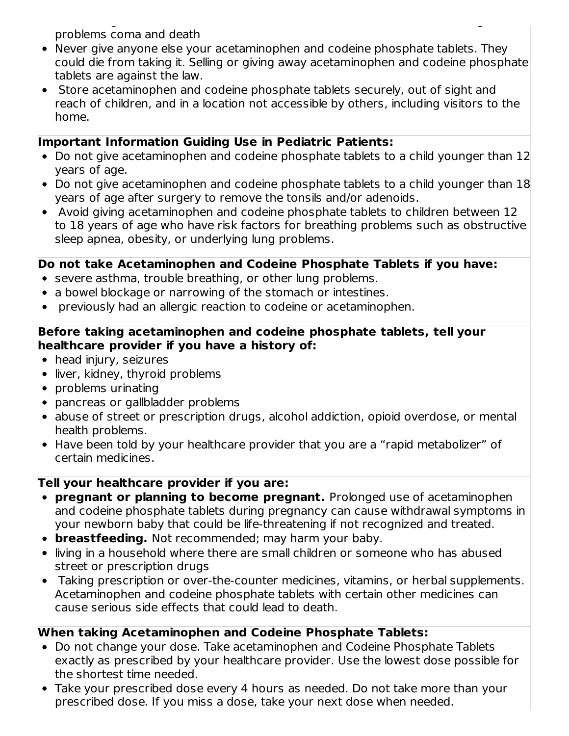street drugs) can cause severe drowsiness, decreased awareness, breathing problems coma and death

- Never give anyone else your acetaminophen and codeine phosphate tablets. They could die from taking it. Selling or giving away acetaminophen and codeine phosphate tablets are against the law.
- Store acetaminophen and codeine phosphate tablets securely, out of sight and reach of children, and in a location not accessible by others, including visitors to the home.

#### **Important Information Guiding Use in Pediatric Patients:**

- Do not give acetaminophen and codeine phosphate tablets to a child younger than 12 years of age.
- Do not give acetaminophen and codeine phosphate tablets to a child younger than 18 years of age after surgery to remove the tonsils and/or adenoids.
- Avoid giving acetaminophen and codeine phosphate tablets to children between 12 to 18 years of age who have risk factors for breathing problems such as obstructive sleep apnea, obesity, or underlying lung problems.

#### **Do not take Acetaminophen and Codeine Phosphate Tablets if you have:**

- severe asthma, trouble breathing, or other lung problems.
- a bowel blockage or narrowing of the stomach or intestines.
- previously had an allergic reaction to codeine or acetaminophen.

#### **Before taking acetaminophen and codeine phosphate tablets, tell your healthcare provider if you have a history of:**

- head injury, seizures
- liver, kidney, thyroid problems
- problems urinating
- pancreas or gallbladder problems
- abuse of street or prescription drugs, alcohol addiction, opioid overdose, or mental health problems.
- Have been told by your healthcare provider that you are a "rapid metabolizer" of certain medicines.

#### **Tell your healthcare provider if you are:**

- **pregnant or planning to become pregnant.** Prolonged use of acetaminophen and codeine phosphate tablets during pregnancy can cause withdrawal symptoms in your newborn baby that could be life-threatening if not recognized and treated.
- **breastfeeding.** Not recommended; may harm your baby.
- living in a household where there are small children or someone who has abused street or prescription drugs
- Taking prescription or over-the-counter medicines, vitamins, or herbal supplements. Acetaminophen and codeine phosphate tablets with certain other medicines can cause serious side effects that could lead to death.

# **When taking Acetaminophen and Codeine Phosphate Tablets:**

- Do not change your dose. Take acetaminophen and Codeine Phosphate Tablets exactly as prescribed by your healthcare provider. Use the lowest dose possible for the shortest time needed.
- Take your prescribed dose every 4 hours as needed. Do not take more than your prescribed dose. If you miss a dose, take your next dose when needed.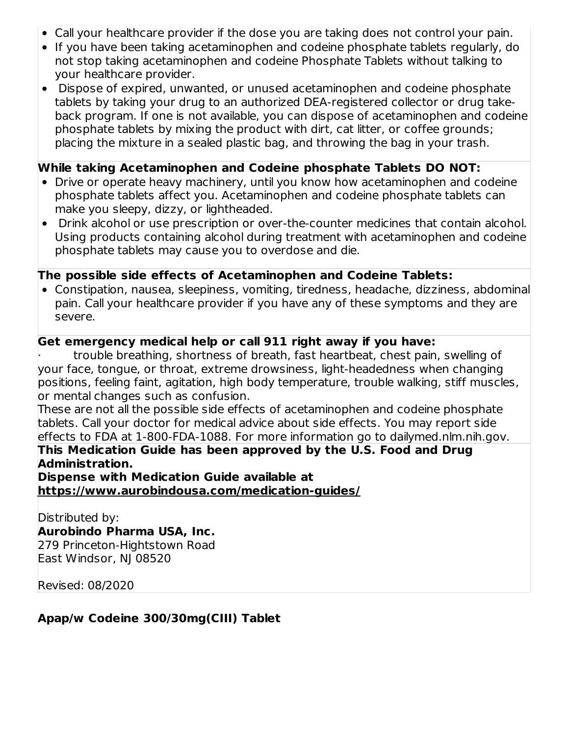- Call your healthcare provider if the dose you are taking does not control your pain.
- If you have been taking acetaminophen and codeine phosphate tablets regularly, do not stop taking acetaminophen and codeine Phosphate Tablets without talking to your healthcare provider.
- Dispose of expired, unwanted, or unused acetaminophen and codeine phosphate tablets by taking your drug to an authorized DEA-registered collector or drug takeback program. If one is not available, you can dispose of acetaminophen and codeine phosphate tablets by mixing the product with dirt, cat litter, or coffee grounds; placing the mixture in a sealed plastic bag, and throwing the bag in your trash.

#### **While taking Acetaminophen and Codeine phosphate Tablets DO NOT:**

- Drive or operate heavy machinery, until you know how acetaminophen and codeine phosphate tablets affect you. Acetaminophen and codeine phosphate tablets can make you sleepy, dizzy, or lightheaded.
- Drink alcohol or use prescription or over-the-counter medicines that contain alcohol. Using products containing alcohol during treatment with acetaminophen and codeine phosphate tablets may cause you to overdose and die.

#### **The possible side effects of Acetaminophen and Codeine Tablets:**

Constipation, nausea, sleepiness, vomiting, tiredness, headache, dizziness, abdominal pain. Call your healthcare provider if you have any of these symptoms and they are severe.

## **Get emergency medical help or call 911 right away if you have:**

· trouble breathing, shortness of breath, fast heartbeat, chest pain, swelling of your face, tongue, or throat, extreme drowsiness, light-headedness when changing positions, feeling faint, agitation, high body temperature, trouble walking, stiff muscles, or mental changes such as confusion.

These are not all the possible side effects of acetaminophen and codeine phosphate tablets. Call your doctor for medical advice about side effects. You may report side effects to FDA at 1-800-FDA-1088. For more information go to dailymed.nlm.nih.gov.

# **This Medication Guide has been approved by the U.S. Food and Drug Administration.**

**Dispense with Medication Guide available at https://www.aurobindousa.com/medication-guides/**

Distributed by: **Aurobindo Pharma USA, Inc.** 279 Princeton-Hightstown Road

East Windsor, NJ 08520

Revised: 08/2020

# **Apap/w Codeine 300/30mg(CIII) Tablet**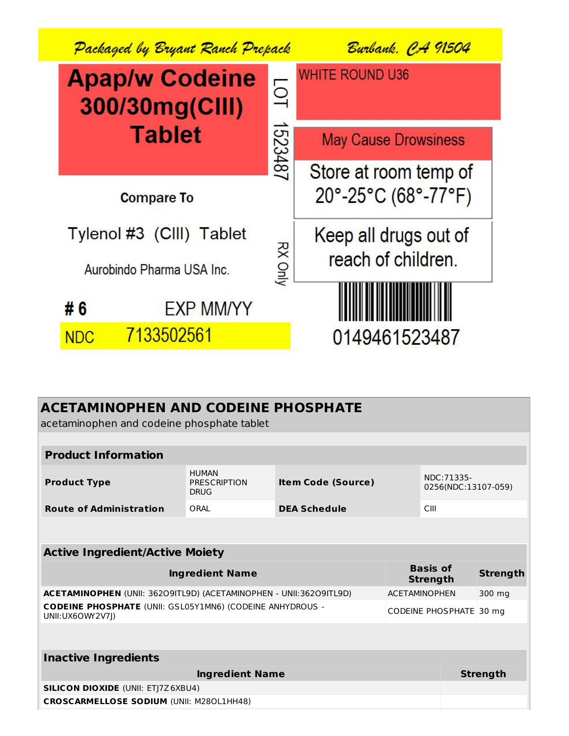

| <b>ACETAMINOPHEN AND CODEINE PHOSPHATE</b>                                            |                                                                                 |                     |                                    |                 |                 |
|---------------------------------------------------------------------------------------|---------------------------------------------------------------------------------|---------------------|------------------------------------|-----------------|-----------------|
| acetaminophen and codeine phosphate tablet                                            |                                                                                 |                     |                                    |                 |                 |
|                                                                                       |                                                                                 |                     |                                    |                 |                 |
| <b>Product Information</b>                                                            |                                                                                 |                     |                                    |                 |                 |
| <b>Product Type</b>                                                                   | <b>HUMAN</b><br><b>PRESCRIPTION</b><br><b>Item Code (Source)</b><br><b>DRUG</b> |                     | NDC: 71335-<br>0256(NDC:13107-059) |                 |                 |
| <b>Route of Administration</b>                                                        | ORAI                                                                            | <b>DEA Schedule</b> |                                    | CIII            |                 |
|                                                                                       |                                                                                 |                     |                                    |                 |                 |
| <b>Active Ingredient/Active Moiety</b>                                                |                                                                                 |                     |                                    |                 |                 |
| <b>Ingredient Name</b>                                                                |                                                                                 |                     | <b>Basis of</b><br><b>Strength</b> | <b>Strength</b> |                 |
| ACETAMINOPHEN (UNII: 36209ITL9D) (ACETAMINOPHEN - UNII: 36209ITL9D)                   |                                                                                 |                     | <b>ACETAMINOPHEN</b><br>300 mg     |                 |                 |
| <b>CODEINE PHOSPHATE (UNII: GSL05Y1MN6) (CODEINE ANHYDROUS -</b><br>UNII: UX6OWY2V7J) |                                                                                 |                     | CODEINE PHOSPHATE 30 mg            |                 |                 |
|                                                                                       |                                                                                 |                     |                                    |                 |                 |
| <b>Inactive Ingredients</b>                                                           |                                                                                 |                     |                                    |                 |                 |
|                                                                                       | <b>Ingredient Name</b>                                                          |                     |                                    |                 | <b>Strength</b> |
| <b>SILICON DIOXIDE (UNII: ETJ7Z6XBU4)</b>                                             |                                                                                 |                     |                                    |                 |                 |
| <b>CROSCARMELLOSE SODIUM (UNII: M280L1HH48)</b>                                       |                                                                                 |                     |                                    |                 |                 |
|                                                                                       |                                                                                 |                     |                                    |                 |                 |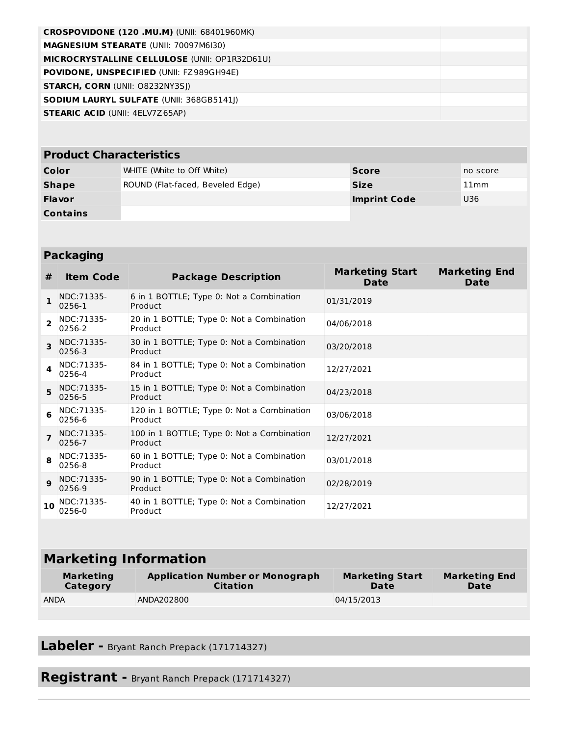| CROSPOVIDONE (120 .MU.M) (UNII: 68401960MK)          |  |
|------------------------------------------------------|--|
| <b>MAGNESIUM STEARATE (UNII: 70097M6I30)</b>         |  |
| <b>MICROCRYSTALLINE CELLULOSE (UNII: OP1R32D61U)</b> |  |
| <b>POVIDONE, UNSPECIFIED (UNII: FZ989GH94E)</b>      |  |
| <b>STARCH, CORN (UNII: 08232NY3SI)</b>               |  |
| <b>SODIUM LAURYL SULFATE (UNII: 368GB5141I)</b>      |  |
| <b>STEARIC ACID (UNII: 4ELV7Z65AP)</b>               |  |
|                                                      |  |

# **Product Characteristics**

| Color           | WHITE (White to Off White)       | <b>Score</b>        | no score |
|-----------------|----------------------------------|---------------------|----------|
| Shape           | ROUND (Flat-faced, Beveled Edge) | <b>Size</b>         | 11mm     |
| <b>Flavor</b>   |                                  | <b>Imprint Code</b> | U36      |
| <b>Contains</b> |                                  |                     |          |

| <b>Packaging</b> |                              |                                                       |                                       |                                     |  |
|------------------|------------------------------|-------------------------------------------------------|---------------------------------------|-------------------------------------|--|
| #                | <b>Item Code</b>             | <b>Package Description</b>                            | <b>Marketing Start</b><br><b>Date</b> | <b>Marketing End</b><br><b>Date</b> |  |
| 1                | NDC: 71335-<br>0256-1        | 6 in 1 BOTTLE; Type 0: Not a Combination<br>Product   | 01/31/2019                            |                                     |  |
| $\overline{2}$   | NDC:71335-<br>0256-2         | 20 in 1 BOTTLE; Type 0: Not a Combination<br>Product  | 04/06/2018                            |                                     |  |
| 3                | NDC: 71335-<br>0256-3        | 30 in 1 BOTTLE; Type 0: Not a Combination<br>Product  | 03/20/2018                            |                                     |  |
| 4                | NDC: 71335-<br>0256-4        | 84 in 1 BOTTLE; Type 0: Not a Combination<br>Product  | 12/27/2021                            |                                     |  |
| 5                | NDC: 71335-<br>0256-5        | 15 in 1 BOTTLE; Type 0: Not a Combination<br>Product  | 04/23/2018                            |                                     |  |
| 6                | NDC:71335-<br>0256-6         | 120 in 1 BOTTLE; Type 0: Not a Combination<br>Product | 03/06/2018                            |                                     |  |
| $\overline{7}$   | NDC:71335-<br>0256-7         | 100 in 1 BOTTLE; Type 0: Not a Combination<br>Product | 12/27/2021                            |                                     |  |
| 8                | NDC:71335-<br>0256-8         | 60 in 1 BOTTLE; Type 0: Not a Combination<br>Product  | 03/01/2018                            |                                     |  |
| $\mathbf{9}$     | NDC: 71335-<br>0256-9        | 90 in 1 BOTTLE; Type 0: Not a Combination<br>Product  | 02/28/2019                            |                                     |  |
| 10               | NDC:71335-<br>0256-0         | 40 in 1 BOTTLE; Type 0: Not a Combination<br>Product  | 12/27/2021                            |                                     |  |
|                  |                              |                                                       |                                       |                                     |  |
|                  | <b>Marketing Information</b> |                                                       |                                       |                                     |  |

| <b>Plannething Thirdinia Civil</b> |                                                           |                                |                              |  |
|------------------------------------|-----------------------------------------------------------|--------------------------------|------------------------------|--|
| <b>Marketing</b><br>Category       | <b>Application Number or Monograph</b><br><b>Citation</b> | <b>Marketing Start</b><br>Date | <b>Marketing End</b><br>Date |  |
| <b>ANDA</b>                        | ANDA202800                                                | 04/15/2013                     |                              |  |

**Labeler -** Bryant Ranch Prepack (171714327)

**Registrant -** Bryant Ranch Prepack (171714327)